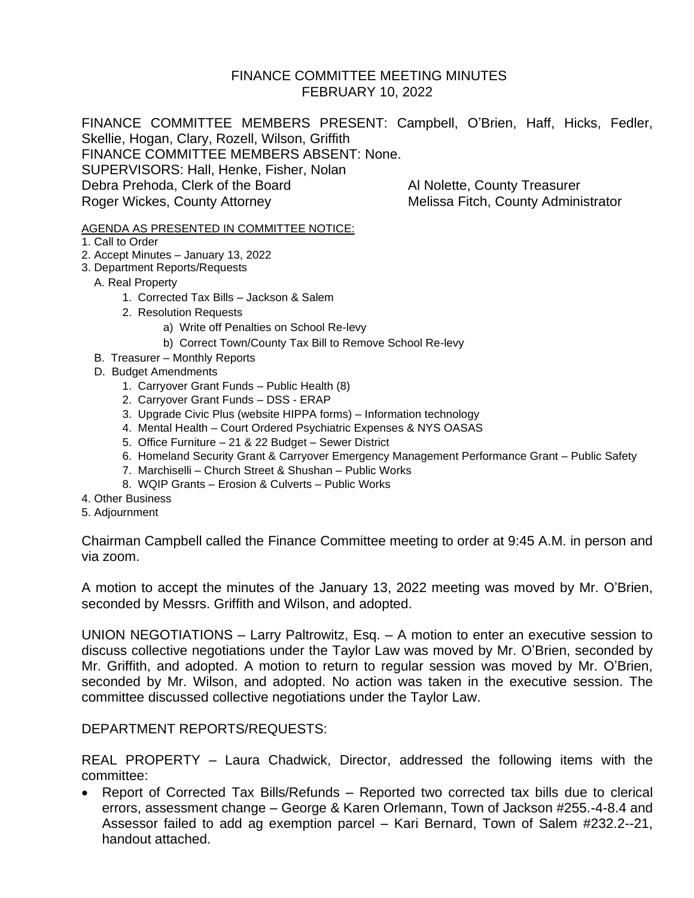#### FINANCE COMMITTEE MEETING MINUTES FEBRUARY 10, 2022

FINANCE COMMITTEE MEMBERS PRESENT: Campbell, O'Brien, Haff, Hicks, Fedler, Skellie, Hogan, Clary, Rozell, Wilson, Griffith FINANCE COMMITTEE MEMBERS ABSENT: None. SUPERVISORS: Hall, Henke, Fisher, Nolan Debra Prehoda, Clerk of the Board Al Nolette, County Treasurer Roger Wickes, County Attorney Melissa Fitch, County Administrator

#### AGENDA AS PRESENTED IN COMMITTEE NOTICE:

- 1. Call to Order
- 2. Accept Minutes January 13, 2022
- 3. Department Reports/Requests
	- A. Real Property
		- 1. Corrected Tax Bills Jackson & Salem
		- 2. Resolution Requests
			- a) Write off Penalties on School Re-levy
				- b) Correct Town/County Tax Bill to Remove School Re-levy
	- B. Treasurer Monthly Reports
	- D. Budget Amendments
		- 1. Carryover Grant Funds Public Health (8)
		- 2. Carryover Grant Funds DSS ERAP
		- 3. Upgrade Civic Plus (website HIPPA forms) Information technology
		- 4. Mental Health Court Ordered Psychiatric Expenses & NYS OASAS
		- 5. Office Furniture 21 & 22 Budget Sewer District
		- 6. Homeland Security Grant & Carryover Emergency Management Performance Grant Public Safety
		- 7. Marchiselli Church Street & Shushan Public Works
		- 8. WQIP Grants Erosion & Culverts Public Works
- 4. Other Business
- 5. Adjournment

Chairman Campbell called the Finance Committee meeting to order at 9:45 A.M. in person and via zoom.

A motion to accept the minutes of the January 13, 2022 meeting was moved by Mr. O'Brien, seconded by Messrs. Griffith and Wilson, and adopted.

UNION NEGOTIATIONS – Larry Paltrowitz, Esq. – A motion to enter an executive session to discuss collective negotiations under the Taylor Law was moved by Mr. O'Brien, seconded by Mr. Griffith, and adopted. A motion to return to regular session was moved by Mr. O'Brien, seconded by Mr. Wilson, and adopted. No action was taken in the executive session. The committee discussed collective negotiations under the Taylor Law.

#### DEPARTMENT REPORTS/REQUESTS:

REAL PROPERTY – Laura Chadwick, Director, addressed the following items with the committee:

• Report of Corrected Tax Bills/Refunds – Reported two corrected tax bills due to clerical errors, assessment change – George & Karen Orlemann, Town of Jackson #255.-4-8.4 and Assessor failed to add ag exemption parcel – Kari Bernard, Town of Salem #232.2--21, handout attached.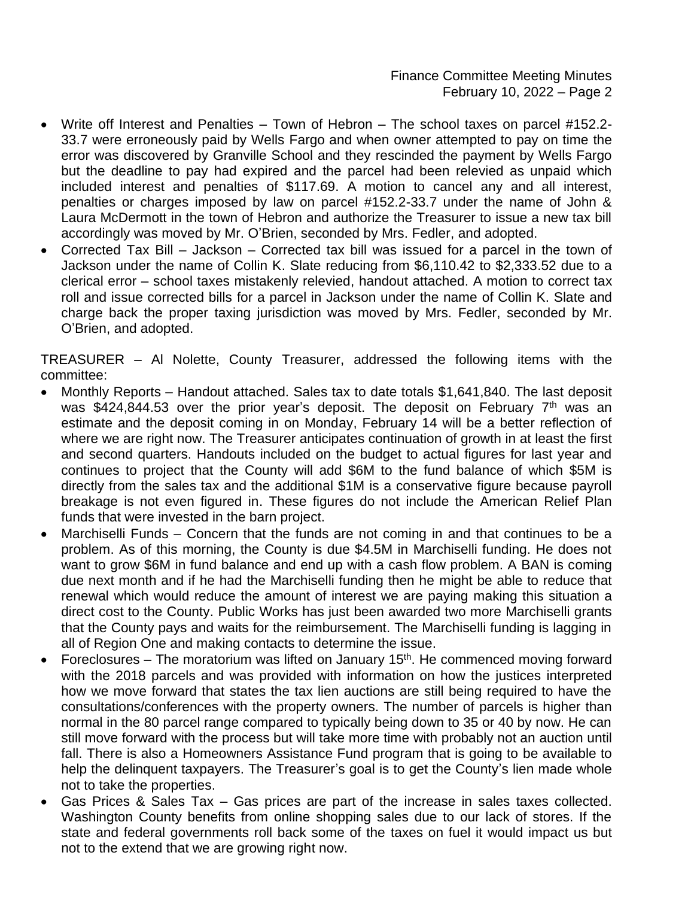- Write off Interest and Penalties Town of Hebron The school taxes on parcel #152.2- 33.7 were erroneously paid by Wells Fargo and when owner attempted to pay on time the error was discovered by Granville School and they rescinded the payment by Wells Fargo but the deadline to pay had expired and the parcel had been relevied as unpaid which included interest and penalties of \$117.69. A motion to cancel any and all interest, penalties or charges imposed by law on parcel #152.2-33.7 under the name of John & Laura McDermott in the town of Hebron and authorize the Treasurer to issue a new tax bill accordingly was moved by Mr. O'Brien, seconded by Mrs. Fedler, and adopted.
- Corrected Tax Bill Jackson Corrected tax bill was issued for a parcel in the town of Jackson under the name of Collin K. Slate reducing from \$6,110.42 to \$2,333.52 due to a clerical error – school taxes mistakenly relevied, handout attached. A motion to correct tax roll and issue corrected bills for a parcel in Jackson under the name of Collin K. Slate and charge back the proper taxing jurisdiction was moved by Mrs. Fedler, seconded by Mr. O'Brien, and adopted.

TREASURER – Al Nolette, County Treasurer, addressed the following items with the committee:

- Monthly Reports Handout attached. Sales tax to date totals \$1,641,840. The last deposit was  $$424,844.53$  over the prior year's deposit. The deposit on February  $7<sup>th</sup>$  was an estimate and the deposit coming in on Monday, February 14 will be a better reflection of where we are right now. The Treasurer anticipates continuation of growth in at least the first and second quarters. Handouts included on the budget to actual figures for last year and continues to project that the County will add \$6M to the fund balance of which \$5M is directly from the sales tax and the additional \$1M is a conservative figure because payroll breakage is not even figured in. These figures do not include the American Relief Plan funds that were invested in the barn project.
- Marchiselli Funds Concern that the funds are not coming in and that continues to be a problem. As of this morning, the County is due \$4.5M in Marchiselli funding. He does not want to grow \$6M in fund balance and end up with a cash flow problem. A BAN is coming due next month and if he had the Marchiselli funding then he might be able to reduce that renewal which would reduce the amount of interest we are paying making this situation a direct cost to the County. Public Works has just been awarded two more Marchiselli grants that the County pays and waits for the reimbursement. The Marchiselli funding is lagging in all of Region One and making contacts to determine the issue.
- Foreclosures The moratorium was lifted on January 15<sup>th</sup>. He commenced moving forward with the 2018 parcels and was provided with information on how the justices interpreted how we move forward that states the tax lien auctions are still being required to have the consultations/conferences with the property owners. The number of parcels is higher than normal in the 80 parcel range compared to typically being down to 35 or 40 by now. He can still move forward with the process but will take more time with probably not an auction until fall. There is also a Homeowners Assistance Fund program that is going to be available to help the delinquent taxpayers. The Treasurer's goal is to get the County's lien made whole not to take the properties.
- Gas Prices & Sales Tax Gas prices are part of the increase in sales taxes collected. Washington County benefits from online shopping sales due to our lack of stores. If the state and federal governments roll back some of the taxes on fuel it would impact us but not to the extend that we are growing right now.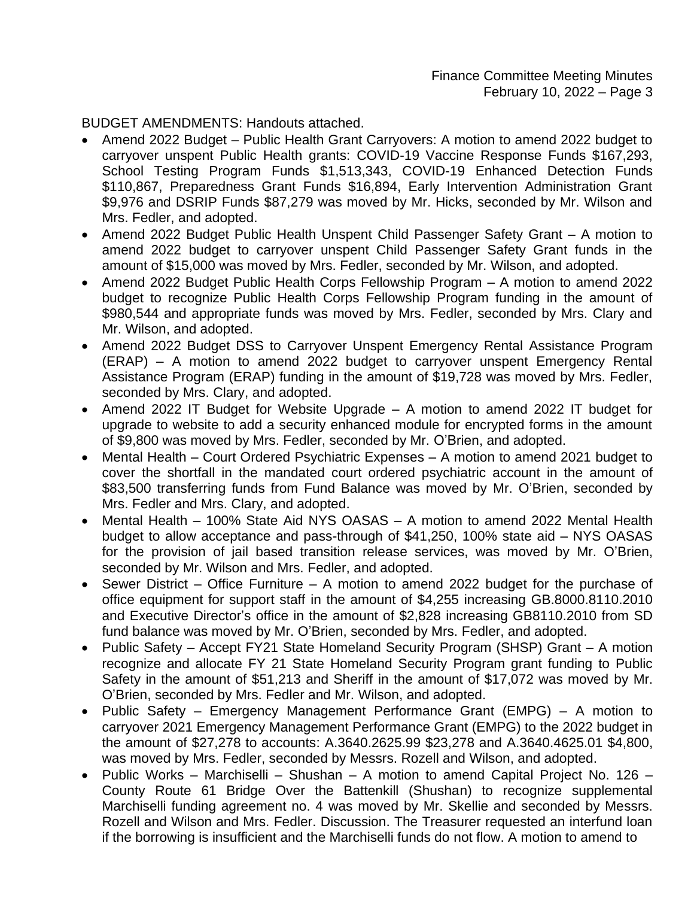BUDGET AMENDMENTS: Handouts attached.

- Amend 2022 Budget Public Health Grant Carryovers: A motion to amend 2022 budget to carryover unspent Public Health grants: COVID-19 Vaccine Response Funds \$167,293, School Testing Program Funds \$1,513,343, COVID-19 Enhanced Detection Funds \$110,867, Preparedness Grant Funds \$16,894, Early Intervention Administration Grant \$9,976 and DSRIP Funds \$87,279 was moved by Mr. Hicks, seconded by Mr. Wilson and Mrs. Fedler, and adopted.
- Amend 2022 Budget Public Health Unspent Child Passenger Safety Grant A motion to amend 2022 budget to carryover unspent Child Passenger Safety Grant funds in the amount of \$15,000 was moved by Mrs. Fedler, seconded by Mr. Wilson, and adopted.
- Amend 2022 Budget Public Health Corps Fellowship Program A motion to amend 2022 budget to recognize Public Health Corps Fellowship Program funding in the amount of \$980,544 and appropriate funds was moved by Mrs. Fedler, seconded by Mrs. Clary and Mr. Wilson, and adopted.
- Amend 2022 Budget DSS to Carryover Unspent Emergency Rental Assistance Program (ERAP) – A motion to amend 2022 budget to carryover unspent Emergency Rental Assistance Program (ERAP) funding in the amount of \$19,728 was moved by Mrs. Fedler, seconded by Mrs. Clary, and adopted.
- Amend 2022 IT Budget for Website Upgrade A motion to amend 2022 IT budget for upgrade to website to add a security enhanced module for encrypted forms in the amount of \$9,800 was moved by Mrs. Fedler, seconded by Mr. O'Brien, and adopted.
- Mental Health Court Ordered Psychiatric Expenses A motion to amend 2021 budget to cover the shortfall in the mandated court ordered psychiatric account in the amount of \$83,500 transferring funds from Fund Balance was moved by Mr. O'Brien, seconded by Mrs. Fedler and Mrs. Clary, and adopted.
- Mental Health 100% State Aid NYS OASAS A motion to amend 2022 Mental Health budget to allow acceptance and pass-through of \$41,250, 100% state aid – NYS OASAS for the provision of jail based transition release services, was moved by Mr. O'Brien, seconded by Mr. Wilson and Mrs. Fedler, and adopted.
- Sewer District Office Furniture A motion to amend 2022 budget for the purchase of office equipment for support staff in the amount of \$4,255 increasing GB.8000.8110.2010 and Executive Director's office in the amount of \$2,828 increasing GB8110.2010 from SD fund balance was moved by Mr. O'Brien, seconded by Mrs. Fedler, and adopted.
- Public Safety Accept FY21 State Homeland Security Program (SHSP) Grant A motion recognize and allocate FY 21 State Homeland Security Program grant funding to Public Safety in the amount of \$51,213 and Sheriff in the amount of \$17,072 was moved by Mr. O'Brien, seconded by Mrs. Fedler and Mr. Wilson, and adopted.
- Public Safety Emergency Management Performance Grant (EMPG) A motion to carryover 2021 Emergency Management Performance Grant (EMPG) to the 2022 budget in the amount of \$27,278 to accounts: A.3640.2625.99 \$23,278 and A.3640.4625.01 \$4,800, was moved by Mrs. Fedler, seconded by Messrs. Rozell and Wilson, and adopted.
- Public Works Marchiselli Shushan A motion to amend Capital Project No. 126 County Route 61 Bridge Over the Battenkill (Shushan) to recognize supplemental Marchiselli funding agreement no. 4 was moved by Mr. Skellie and seconded by Messrs. Rozell and Wilson and Mrs. Fedler. Discussion. The Treasurer requested an interfund loan if the borrowing is insufficient and the Marchiselli funds do not flow. A motion to amend to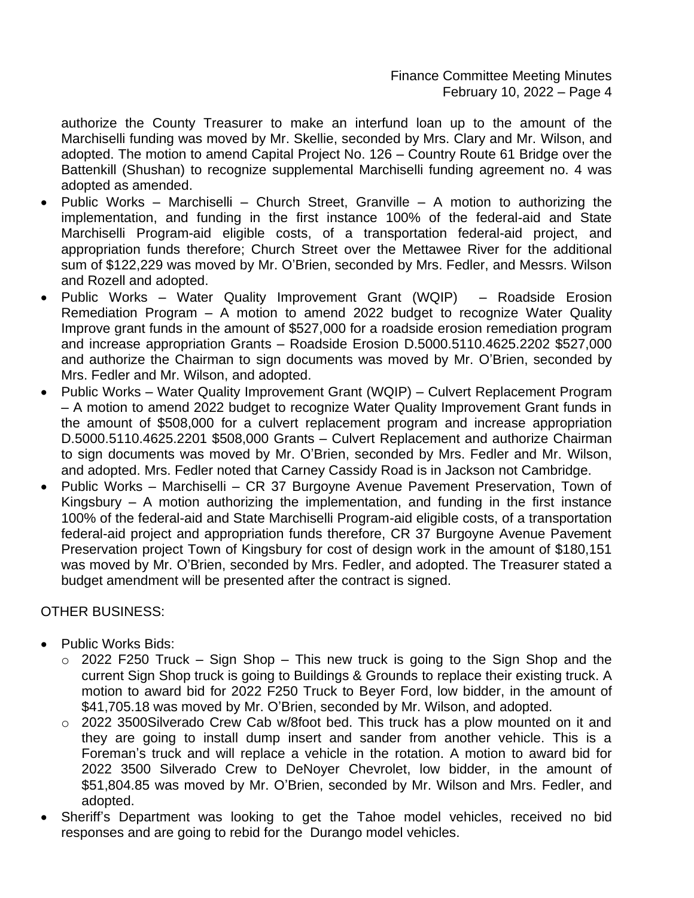authorize the County Treasurer to make an interfund loan up to the amount of the Marchiselli funding was moved by Mr. Skellie, seconded by Mrs. Clary and Mr. Wilson, and adopted. The motion to amend Capital Project No. 126 – Country Route 61 Bridge over the Battenkill (Shushan) to recognize supplemental Marchiselli funding agreement no. 4 was adopted as amended.

- Public Works Marchiselli Church Street, Granville A motion to authorizing the implementation, and funding in the first instance 100% of the federal-aid and State Marchiselli Program-aid eligible costs, of a transportation federal-aid project, and appropriation funds therefore; Church Street over the Mettawee River for the additional sum of \$122,229 was moved by Mr. O'Brien, seconded by Mrs. Fedler, and Messrs. Wilson and Rozell and adopted.
- Public Works Water Quality Improvement Grant (WQIP) Roadside Erosion Remediation Program – A motion to amend 2022 budget to recognize Water Quality Improve grant funds in the amount of \$527,000 for a roadside erosion remediation program and increase appropriation Grants – Roadside Erosion D.5000.5110.4625.2202 \$527,000 and authorize the Chairman to sign documents was moved by Mr. O'Brien, seconded by Mrs. Fedler and Mr. Wilson, and adopted.
- Public Works Water Quality Improvement Grant (WQIP) Culvert Replacement Program – A motion to amend 2022 budget to recognize Water Quality Improvement Grant funds in the amount of \$508,000 for a culvert replacement program and increase appropriation D.5000.5110.4625.2201 \$508,000 Grants – Culvert Replacement and authorize Chairman to sign documents was moved by Mr. O'Brien, seconded by Mrs. Fedler and Mr. Wilson, and adopted. Mrs. Fedler noted that Carney Cassidy Road is in Jackson not Cambridge.
- Public Works Marchiselli CR 37 Burgoyne Avenue Pavement Preservation, Town of Kingsbury – A motion authorizing the implementation, and funding in the first instance 100% of the federal-aid and State Marchiselli Program-aid eligible costs, of a transportation federal-aid project and appropriation funds therefore, CR 37 Burgoyne Avenue Pavement Preservation project Town of Kingsbury for cost of design work in the amount of \$180,151 was moved by Mr. O'Brien, seconded by Mrs. Fedler, and adopted. The Treasurer stated a budget amendment will be presented after the contract is signed.

#### OTHER BUSINESS:

- Public Works Bids:
	- $\circ$  2022 F250 Truck Sign Shop This new truck is going to the Sign Shop and the current Sign Shop truck is going to Buildings & Grounds to replace their existing truck. A motion to award bid for 2022 F250 Truck to Beyer Ford, low bidder, in the amount of \$41,705.18 was moved by Mr. O'Brien, seconded by Mr. Wilson, and adopted.
	- o 2022 3500Silverado Crew Cab w/8foot bed. This truck has a plow mounted on it and they are going to install dump insert and sander from another vehicle. This is a Foreman's truck and will replace a vehicle in the rotation. A motion to award bid for 2022 3500 Silverado Crew to DeNoyer Chevrolet, low bidder, in the amount of \$51,804.85 was moved by Mr. O'Brien, seconded by Mr. Wilson and Mrs. Fedler, and adopted.
- Sheriff's Department was looking to get the Tahoe model vehicles, received no bid responses and are going to rebid for the Durango model vehicles.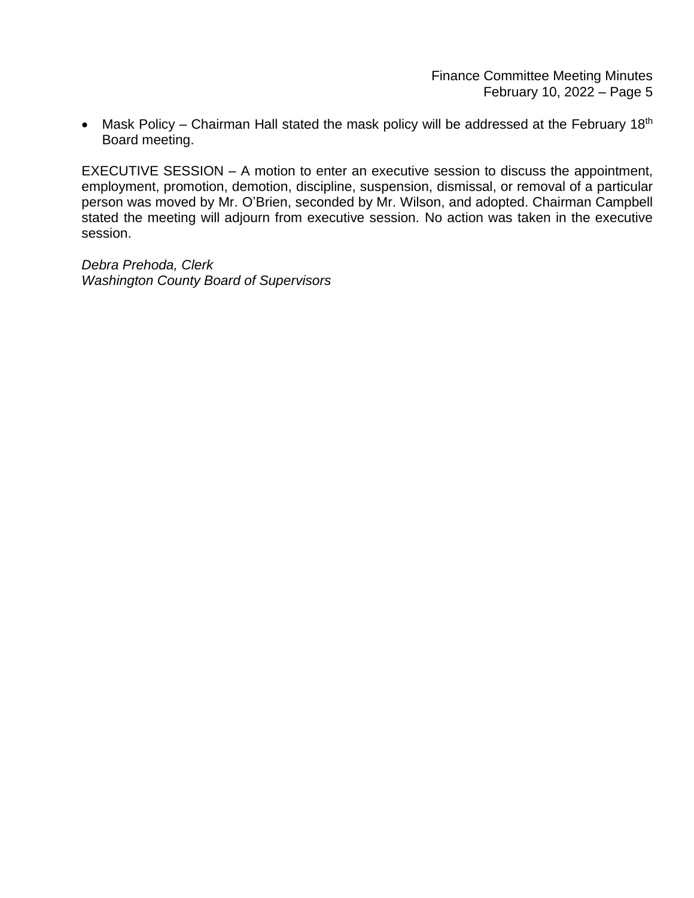• Mask Policy – Chairman Hall stated the mask policy will be addressed at the February 18<sup>th</sup> Board meeting.

EXECUTIVE SESSION – A motion to enter an executive session to discuss the appointment, employment, promotion, demotion, discipline, suspension, dismissal, or removal of a particular person was moved by Mr. O'Brien, seconded by Mr. Wilson, and adopted. Chairman Campbell stated the meeting will adjourn from executive session. No action was taken in the executive session.

*Debra Prehoda, Clerk Washington County Board of Supervisors*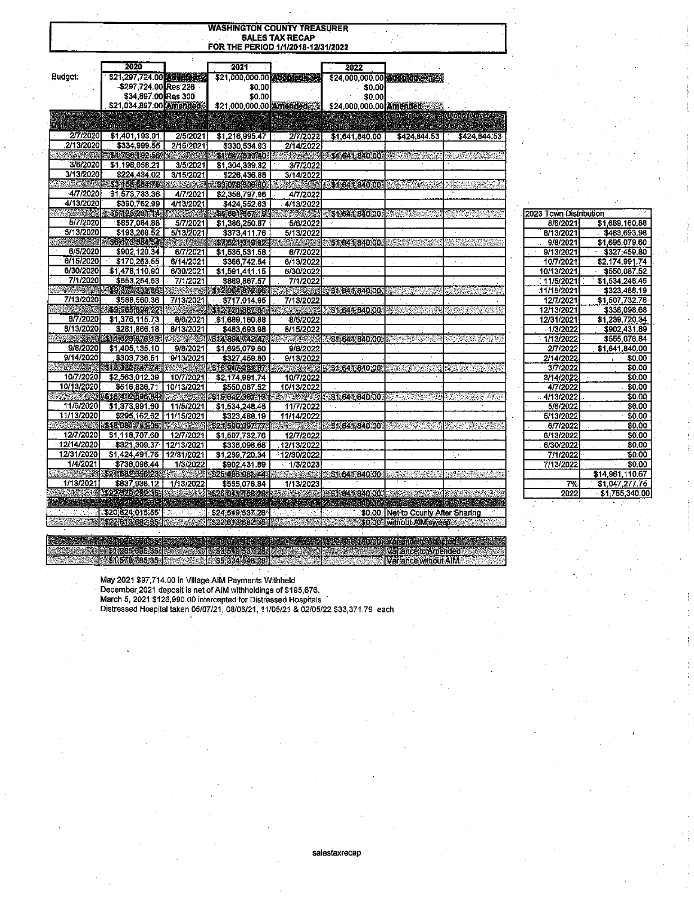| <b>WASHINGTON COUNTY TREASURER</b> |                                              |                       |                                    |                                   |                         |                                               |                                        |
|------------------------------------|----------------------------------------------|-----------------------|------------------------------------|-----------------------------------|-------------------------|-----------------------------------------------|----------------------------------------|
|                                    |                                              |                       |                                    | <b>SALES TAX RECAP</b>            |                         |                                               |                                        |
|                                    |                                              |                       | FOR THE PERIOD 1/1/2018-12/31/2022 |                                   |                         |                                               |                                        |
|                                    |                                              |                       |                                    |                                   |                         |                                               |                                        |
|                                    | 2020                                         |                       | 2021                               |                                   | 2022                    |                                               |                                        |
| Budget:                            | \$21,297,724.00 Aughbridge                   |                       | \$21,000,000.00 dopted             |                                   |                         | \$24,000,000.00 Adopted \$24,000              |                                        |
|                                    | -\$297,724.00 Res 226<br>\$34,897,00 Res 300 |                       | \$0.00                             |                                   | \$0.00                  |                                               |                                        |
|                                    | \$21,034,897.00 Amended                      |                       | \$0.00                             |                                   | \$0.00                  |                                               |                                        |
|                                    |                                              |                       | \$21,000,000.00 Amended            |                                   | \$24,000,000.00 Amended |                                               |                                        |
| DAIL                               |                                              |                       |                                    |                                   |                         | <b>100.00%</b><br><b>Ship Age of Security</b> | <b>TUREDIOX</b><br><b>Keeming Date</b> |
| 2/7/2020                           |                                              |                       | name as                            |                                   | <b>MONDA</b>            |                                               |                                        |
| 2/13/2020                          | \$1,401,193.01.<br>\$334,999,55              | 2/5/2021<br>2/16/2021 | \$1,216,995.47<br>\$330.534.93     | 2/7/2022<br>2/14/2022             | \$1,641,840.00          | \$424,844.53                                  | \$424,844.53                           |
|                                    | \$\$1,736,192.56                             |                       | $-31.547.530.40$                   |                                   | <b>SILEMPADIOA</b>      |                                               |                                        |
| 3/6/2020                           | \$1,198,058.21                               | 3/5/2021              | \$1,304,339.32                     | 3/7/2022                          |                         |                                               |                                        |
| 3/13/2020                          | \$224,434.02                                 | 3/15/2021             | \$226 436.88                       | 3/14/2022                         |                         |                                               |                                        |
| <b>ANG PARTIES</b>                 | 353 158 654 79                               | <u>Karenga</u>        | -53.078.306.60                     |                                   | 3164184000 200 300 300  |                                               | entere graven                          |
| 4/7/2020                           | \$1,573,783.36                               | 4/7/2021              | \$2,358 797.96                     | 4/7/2022                          |                         |                                               |                                        |
| 4/13/2020                          | \$390,762.99                                 | 4/13/2021             | \$424,552.63                       | 4/13/2022                         |                         |                                               |                                        |
|                                    | <b>16512929114</b>                           | <b>MARK</b>           | \$5,861,657,19                     |                                   | \$1,641,840,003         | 浅粉的                                           |                                        |
| 5/7/2020                           | \$857,084.88                                 | 5/7/2021              | \$1,386,250.87                     | 5/6/2022                          |                         |                                               |                                        |
| 5/13/2020                          | \$193,268.52                                 | 5/13/2021             | \$373,411.76                       | 5/13/2022                         |                         |                                               |                                        |
| min Kau                            | 6617358454                                   | <b>MARINE</b>         | \$74524.319.82                     |                                   | \$1,641,840.00          | ter State of the                              | SADSA SEMPER                           |
| 6/5/2020                           | \$902,120.34                                 | 6/7/2021              | \$1,535,531.58                     | 6/7/2022                          |                         |                                               |                                        |
| 6/15/2020                          | \$170,263.55                                 | 6/14/2021             | \$366,742.54                       | 6/13/2022                         |                         |                                               | ÷.                                     |
| 6/30/2020                          | \$1,478,110.90                               | 6/30/2021             | \$1,591.411.15                     | 6/30/2022                         |                         |                                               |                                        |
| 7/1/2020                           | \$653,254.53                                 | 7/1/2021              | \$889,867.57                       | 7/1/2022                          |                         |                                               |                                        |
|                                    | \$9,377,333,86                               |                       | \$12,004,872,66                    |                                   | \$1.641.840.00          |                                               |                                        |
| 7/13/2020                          | \$588,560.36                                 | 7/13/2021             | \$717.014.95                       | 7/13/2022                         |                         |                                               |                                        |
|                                    | \$9,965,894.22                               |                       | \$12.721.887.61                    |                                   | \$1,641,840,00          | E SIMBOLI                                     | en av et en 194                        |
| 8/7/2020                           | \$1,376,115.73                               | 8/6/2021              | \$1,689,160.88                     | 8/5/2022                          |                         |                                               |                                        |
| 8/13/2020                          | \$281,866.18                                 | 8/13/2021             | \$483,693.98                       | 8/15/2022                         |                         |                                               |                                        |
|                                    | \$11623876.13                                |                       | \$14,894742.47                     |                                   | \$1,641,840.00          |                                               |                                        |
| 9/8/2020                           | \$1,405,135.10                               | 9/8/2021              | \$1,695,079.60                     | 9/8/2022                          |                         |                                               |                                        |
| 9/14/2020                          | \$303,736.51                                 | 9/13/2021             | \$327,459.80                       | 9/13/2022                         |                         |                                               |                                        |
|                                    | SIGEREADAL                                   |                       | <b>Giochazenta</b>                 | a Simon ay kalalahat<br>Manazarta | \$1,641,840.00          | AL TRA                                        |                                        |
| 10/7/2020                          | \$2,563,012.39                               | 10/7/2021             | \$2,174,991.74                     | 10/7/2022                         |                         |                                               |                                        |
| 10/13/2020                         | \$516,836.71                                 | 10/13/2021            | \$550.087.52                       | 10/13/2022                        |                         |                                               |                                        |
|                                    | \$16,412,596.84                              |                       | \$1964236143                       |                                   | \$1,641,840,00,         |                                               | $1 - 1000$                             |
| 11/6/2020                          | \$1,373,991.60                               | 11/5/2021             | \$1,534,248.45                     | 11/7/2022                         |                         |                                               |                                        |
| 11/13/2020                         | \$295,162.62                                 | 11/15/2021            | \$323,488.19                       | 11/14/2022                        |                         |                                               |                                        |
|                                    | \$18,081751.06.                              |                       | \$21,500,097.77                    |                                   | \$1,641,840,00          |                                               |                                        |
| 12/7/2020                          | \$1,118,707.60                               | 12/7/2021             | \$1,507,732.76                     | 12/7/2022                         |                         |                                               |                                        |
| 12/14/2020                         | \$321,309.37                                 | 12/13/2021            | \$336,098.68                       | 12/13/2022                        |                         |                                               |                                        |
| 12/31/2020                         | \$1,424,491.76                               | 12/31/2021            | \$1,239,720.34                     | 12/30/2022                        |                         |                                               | Ę.                                     |
| 1/4/2021                           | \$736,096.44                                 | 1/3/2022              | \$902,431.89                       | 1/3/2023                          |                         |                                               |                                        |
|                                    | \$21,682,356,23                              |                       | \$25,486,081,44                    |                                   | \$1,641,840.00          |                                               |                                        |
| 1/13/2021                          | \$637,936.12                                 | 1/13/2022             | \$555,076.84                       | 1/13/2023                         |                         |                                               |                                        |
|                                    | \$22,320,292.85                              |                       | \$26,044,158,28                    |                                   | \$1,641,840.00          |                                               |                                        |
|                                    |                                              |                       |                                    |                                   | GALLER COOL ACTOR       |                                               |                                        |
|                                    | \$20,824,015.55                              | ysger apr             | \$24,549,537.28                    |                                   | -521247                 | \$0.00 Net to County After Sharing            |                                        |
|                                    | \$22 613 682 35                              |                       | \$22,613,682.35                    |                                   | S000 Wilhout AM sweep   |                                               |                                        |

| 2023 Town Distribution |                      |  |  |  |  |  |
|------------------------|----------------------|--|--|--|--|--|
| 8/6/2021               | \$1,689,160.88       |  |  |  |  |  |
| 8/13/2021              | \$483,693.98         |  |  |  |  |  |
| 9/8/2021               | \$1,695,079.60       |  |  |  |  |  |
| 9/13/2021              | \$327;459.80         |  |  |  |  |  |
| 10/7/2021              | ÷,<br>\$2,174,991.74 |  |  |  |  |  |
| 10/13/2021             | \$550.087.52         |  |  |  |  |  |
| : 11/5/2021            | \$1,534,248.45       |  |  |  |  |  |
| 11/15/2021             | \$323,488.19         |  |  |  |  |  |
| 12/7/2021              | \$1,507,732.76       |  |  |  |  |  |
| 12/13/2021             | \$336.098.68         |  |  |  |  |  |
| 12/31/2021             | \$1,239,720.34       |  |  |  |  |  |
| 1/3/2022               | \$902.431.89         |  |  |  |  |  |
| 1/13/2022              | \$555.076.84         |  |  |  |  |  |
| 2/7/20221              | \$1,641,840.00       |  |  |  |  |  |
| 2/14/2022              | - \$0.00             |  |  |  |  |  |
| 3/7/2022               | \$0.00               |  |  |  |  |  |
| 3/14/2022              | \$0.00               |  |  |  |  |  |
| 4/7/2022               | \$0.00               |  |  |  |  |  |
| 4/13/2022              | - 50.00              |  |  |  |  |  |
| 5/6/2022               | \$0.00               |  |  |  |  |  |
| 5/13/2022              | \$0.00               |  |  |  |  |  |
| 6/7/2022               | \$0.00               |  |  |  |  |  |
| 6/13/2022              | \$0.00               |  |  |  |  |  |
| 6/30/2022              | .SO.OO               |  |  |  |  |  |
| 7/1/2022               | -\$0.00              |  |  |  |  |  |
| 7/13/2022              | \$0.00               |  |  |  |  |  |
|                        | \$14,961,110.67      |  |  |  |  |  |
| 7%                     | \$1,047,277.75       |  |  |  |  |  |
| 2022                   | \$1,755,340.00       |  |  |  |  |  |

May 2021 \$97,714.00 in Village AIM Payments Withheld<br>December 2021 deposit is net of AIM withholdings of \$195,676.<br>March 5, 2021 \$126,990.00 intercepted for Distressed Hospitals<br>Distressed Hospital taken 05/07/21, 08/06/21

high e

\$1,285,395,35.<br>\$1,576,785,35.

Variance to Amended<br>Variance without AIM

**DRAMMARK**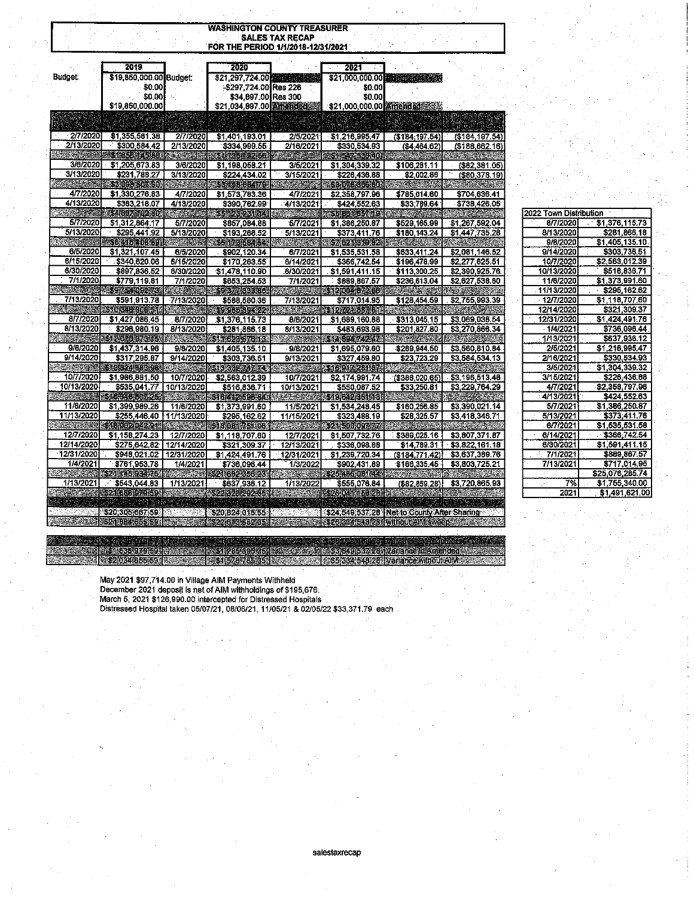|                        |                         |                   | FOR THE PERIOD 1/1/2018-12/31/2021                         | <b>SALES TAX RECAP</b> |                             |                                             |                 |
|------------------------|-------------------------|-------------------|------------------------------------------------------------|------------------------|-----------------------------|---------------------------------------------|-----------------|
|                        | 2019                    |                   | 2020                                                       |                        | 2021                        |                                             |                 |
| Budget:                | \$19,850,000.00 Budget: |                   |                                                            |                        |                             |                                             |                 |
|                        | \$0.00                  |                   | \$21,297.724.00 and all the state<br>-\$297,724.00 Res 226 |                        | \$21,000,000.00 \$10,000 \$ |                                             |                 |
|                        | \$0.00                  |                   | \$34,897.00 Res 300                                        |                        | \$0.00<br>\$0.00            |                                             |                 |
|                        | \$19,850,000.00         |                   | \$21,034,897.00 Amended                                    |                        | \$21,000,000.00 Amended     |                                             |                 |
|                        |                         |                   |                                                            |                        |                             |                                             |                 |
|                        |                         |                   |                                                            |                        |                             |                                             |                 |
| 2/7/2020               | \$1,355,561.38          | 2/7/2020          | \$1,401.193.01                                             | 2/5/2021               | \$1,216,995.47              | (\$184, 197.54)                             | (\$184, 197.54) |
| 2/13/2020              | \$300,584.42            | 2/13/2020         | \$334,999.55                                               | 2/16/2021              | \$330,534.93                | (\$4,464.62)                                | (\$188,662.16)  |
|                        | \$1.655145108           |                   | 317361192563                                               |                        | \$1-547-530-40.             |                                             |                 |
| 3/6/2020               | \$1,205,673.83          | 3/6/2020          | \$1,198,058.21                                             | 3/5/2021               | \$1,304,339.32              | \$106,281.11                                | (\$82,381.05)   |
| 3/13/2020              | \$231,788.27            | 3/13/2020         | \$224,434.02                                               | 3/15/2021              | \$226.436.88                | \$2,002,86                                  | (\$80,378.19)   |
|                        | 109090607490            |                   | \$\$45068479                                               |                        | \$3.073330660               |                                             |                 |
| 4/7/2020               | \$1,330,276.83          | 4/7/2020          | \$1,573,783.36                                             | 4/7/2021               | \$2,358,797.96              | \$785,014.60                                | \$704,636.41    |
| 4/13/2020              | \$383,218.07            | 4/13/2020         | \$390,762.99                                               | 4/13/2021              | \$424,552.63                | \$33,789.64                                 | \$738,426.05    |
|                        | \$4,307,402,809         |                   | <b>SEPTEMBER</b>                                           |                        | \$5 861 657 19              |                                             |                 |
| <i><b>5/7/2020</b></i> | \$1,312,864.17          | 5/7/2020          | \$857,084.88                                               | 5/7/2021               | \$1,386,250.87              | \$529,165.99                                | \$1,267,592.04  |
| 5/13/2020              | \$295,441.92            | 5/13/2020         | \$193,268.52                                               | 5/13/2021              | \$373,411.76                | \$180.143.24                                | \$1,447,735.28  |
| <u>Mana</u>            | 40041540999             |                   | 5617858454                                                 |                        | \$7.621-310.32              |                                             |                 |
| 6/5/2020               | \$1,321,107.45          | 6/5/2020          | \$902.120.34                                               | 6/7/2021               | \$1,535,531.58              | \$633,411.24                                | \$2,081,146.52  |
| 6/15/2020              | \$340,620.06            | 6/15/2020         | \$170,263.55                                               | 6/14/2021              | \$366,742.54                | \$196,478.99                                | \$2,277,625.51  |
| 6/30/2020              | \$897,836.52            | 6/30/2020         | \$1,478,110.90                                             | 6/30/2021              | \$1,591,411.15              | \$113,300.25                                | \$2,390,925.76  |
| 7/1/2020               | \$779,119.81            | 7/1/2020          | \$653.254.53                                               | 7/1/2021               | \$889,867,57                | \$236,613.04                                | \$2,627,538.80  |
|                        | 39,754,092,73           |                   | 59.377.393.86                                              |                        | 32017245                    |                                             |                 |
| 7/13/2020              | \$591.913.78            | 7/13/2020         | \$588.560.36                                               | 7/13/2021              | \$717.014.95                | \$128,454.59                                | \$2,755,993.39  |
|                        | 510 345 006 51          |                   | 8996619492                                                 |                        | S12 /21 837.61              |                                             |                 |
| 8/7/2020               | \$1,427,086.45          | 8/7/2020          | \$1,376,115.73                                             | 8/6/2021               | \$1,689,160.88              | \$313,045.15                                | \$3,069,038.54  |
| 8/13/2020              | \$296,980.19            | 8/13/2020         | \$281.866.18                                               | 8/13/2021              | \$483,693.98                | \$201,827.80                                | \$3,270,866.34  |
|                        | \$12070073515           |                   | <b>MORSON</b>                                              |                        | 814094742472                |                                             |                 |
| 9/8/2020               | \$1,437,314.96          | 9/8/2020          | \$1,405,135.10                                             | 9/8/2021               | \$1,695,079.60              | \$289,944.50                                | \$3,560,810.84  |
| 9/14/2020              | \$317,295.87            | 9/14/2020         | \$303,736.51                                               | 9/13/2021              | \$327 459.80                | \$23,723.29                                 | \$3,584,534.13  |
|                        | 61315241886.98          | <b>TELEVISION</b> | <b>ENGCORTAMEN</b>                                         |                        | \$15,917,281,874            |                                             |                 |
| 10/7/2020              | \$1,986,881.50          | 10/7/2020         | \$2,563,012.39                                             | 10/7/2021              | \$2,174,991.74              | (\$388,020.65)                              | \$3,196,513.48  |
| 10/13/2020             | \$535,041.77            | 10/13/2020        | \$516,836.71                                               | 10/13/2021             | \$550,087.52                | \$33,250.81                                 | \$3,229,764.29  |
|                        | 6163461507.26           |                   | \$16412,596,84                                             |                        | 519642381518                |                                             |                 |
| 11/6/2020              | \$1,399,989,26          | 11/6/2020         | \$1,373,991.60                                             | 11/5/2021              | \$1,534,248.45              | \$160,256.85                                | \$3,390,021.14  |
| 11/13/2020             | \$255,446.40            | 11/13/2020        | \$295.162.62                                               | 11/15/2021             | \$323,488.19                | \$28,325.57                                 | \$3,418,346.71  |
|                        | 518.002.042.91          |                   | \$18.08.1.251.06                                           |                        | S24-500.09Y4744             |                                             |                 |
| 12/7/2020              | \$1.158,274.23          | 12/7/2020         | \$1,118.707.60                                             | 12/7/2021              | \$1,507,732.76              | \$389,025.16                                | \$3,807,371.87  |
| 12/14/2020             | \$275,642.82            | 12/14/2020        | \$321,309.37                                               | 12/13/2021             | \$336,098.68                | \$14,789.31                                 | \$3,822,161.18  |
| 12/31/2020             | \$948,021.02            | 12/31/2020        | \$1,424,491.76                                             | 12/31/2021             | \$1,239,720.34              | (\$184,771.42)                              | \$3,637,389.76  |
| 1/4/2021               | \$761,953.78            | 1/4/2021          | \$736,096.44                                               | 1/3/2022               | \$902,431.89                | \$166,335.45                                | \$3,803,725.21  |
|                        | \$21,145,934,76         |                   | \$21.682.355.23.                                           |                        | \$25,486,084.44             |                                             |                 |
| 1/13/2021              | \$543,044.83            | 1/13/2021         | \$637 936.12                                               | 1/13/2022              | \$555,076.84                | (\$82,859.28)                               | \$3,720,865,93  |
|                        | - 21:00:07:459          |                   | <b>SOURCE DE LOGICAL</b>                                   |                        | S26 041 56 2B               |                                             |                 |
|                        |                         |                   |                                                            |                        |                             |                                             |                 |
|                        | \$20,305,667.59         | 290               | \$20,824.015.55                                            |                        |                             | \$24,549,537.28 Net to County After Sharing |                 |

| <b>2022 TOWN DISTIDUTION</b> |                 |
|------------------------------|-----------------|
| 8/7/2020                     | \$1,376,115.73  |
| 8/13/2020                    | \$281.866.18    |
| 9/8/2020                     | \$1,405,135.10  |
| 9/14/2020                    | \$303.736.51    |
| 10/7/2020                    | 52.563,012.39   |
| 10/13/2020                   | \$516,836.71    |
| 11/6/2020                    | \$1,373,991.60  |
| 11/13/2020                   | \$295,162.62    |
| - 12/7/2020                  | \$1,118,707.60  |
| 12/14/2020                   | \$321,309.37    |
| 12/31/2020                   | 51.424.491.76   |
| 1/4/2021                     | \$736,096.44    |
| 1/13/2021                    | \$637,936.12    |
| 2/5/2021                     | \$1,216,995,47  |
| <sup>∴</sup> 2/16/2021       | \$330,534.93    |
| 3/5/2021                     | \$1,304,339.32  |
| 3/15/2021                    | \$226,436.88    |
| 4/7/2021                     | 82,358,797.96 ، |
| 4/13/2021                    | \$424,552.63    |
| 5/7/2021                     | \$1,386,250.87  |
| 5/13/2021                    | \$373,411.76    |
| 6/7/2021                     | \$1.535,531.58  |
| 6/14/2021                    | \$366,742.54    |
| 6/30/20211                   | \$1.591.411.15  |
| 7/1/2021                     | \$889,867.57    |
| 7/13/2021                    | \$717.014.95    |
|                              | \$25,076,285.74 |
| 7%                           | \$1.755,340.00  |
| 2021                         | \$1,491,621.00  |

May 2021 \$97,714.00 in Village AIM Payments Withheld<br>December 2021 deposit is net of AIM withholdings of \$195,676.<br>March 5, 2021 \$126,990.00 intercepted for Distressed Hospitals<br>Distressed Hospital taken 05/07/21, 08/06/21

2020年 a Ballas

1988 - 1989 - 1989 - 1989<br>1989 - 1989 - 1989 - 1989 - 1980 - 1980 - 1980 - 1980 - 1980 - 1980 - 1980 - 1980 - 1980 - 1980 - 1980 - 1980

1781, 1889, 979, 891<br>SIS2 084, 685, 591

salestaxrecap

Krstys49156%285WenenceloAmende4<br>Krstys4349289WenenceWihouRAMX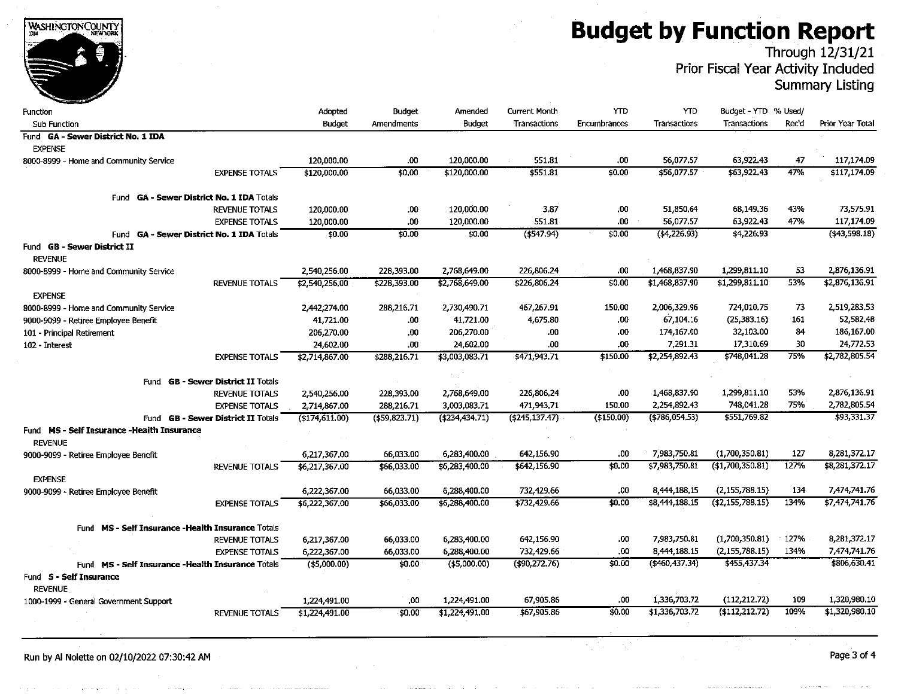**Budget by Function Report** 

Through 12/31/21<br>Prior Fiscal Year Activity Included

**Summary Listing** 

| Function                                             | Adopted           | Budget        | Amended         | <b>Current Month</b> | <b>YTD</b>   | <b>YTD</b>        | Budget - YTD % Used/ |       |                  |
|------------------------------------------------------|-------------------|---------------|-----------------|----------------------|--------------|-------------------|----------------------|-------|------------------|
| <b>Sub Function</b>                                  | <b>Budget</b>     | Amendments    | Budget          | Transactions         | Encumbrances | Transactions      | Transactions         | Rec'd | Prior Year Total |
| Fund GA - Sewer District No. 1 IDA                   |                   |               |                 |                      |              |                   |                      |       |                  |
| <b>EXPENSE</b>                                       |                   |               |                 |                      |              |                   |                      |       |                  |
| 8000-8999 - Home and Community Service               | 120,000.00        | .00           | 120,000.00      | 551.81               | .00          | 56,077.57         | 63,922.43            | 47    | 117,174.09       |
| <b>EXPENSE TOTALS</b>                                | \$120,000.00      | \$0,00        | \$120,000.00    | \$551.81             | \$0.00       | \$56,077.57       | \$63,922.43          | 47%   | \$117,174.09     |
| <b>GA - Sewer District No. 1 IDA Totals</b><br>Fund  |                   |               |                 |                      |              |                   |                      |       |                  |
| <b>REVENUE TOTALS</b>                                | 120,000.00        | .00           | 120,000.00      | 3.87                 | 00           | 51,850,64         | 68,149,36            | 43%   | 73,575.91        |
| <b>EXPENSE TOTALS</b>                                | 120,000.00        | 00.           | 120,000.00      | 551.81               | .00          | 56,077.57         | 63,922.43            | 47%   | 117,174.09       |
| Fund GA - Sewer District No. 1 IDA Totals            | \$0.00            | \$0.00        | \$0,00          | (\$547.94)           | \$0.00       | (44,226.93)       | \$4,226.93           |       | (543,598.18)     |
| Fund <b>GB - Sewer District II</b><br><b>REVENUE</b> |                   |               |                 |                      |              |                   |                      |       |                  |
| 8000-8999 - Home and Community Service               | 2,540,256.00      | 228,393.00    | 2,768,649.00    | 226,806.24           | .00          | 1,468,837.90      | 1,299,811.10         | 53    | 2,876,136.91     |
| <b>REVENUE TOTALS</b>                                | \$2,540,256,00    | \$228,393.00  | \$2,768,649.00  | \$226,806.24         | \$0.00       | \$1,468,837.90    | \$1,299,811.10       | 53%   | \$2,876,136.91   |
| <b>EXPENSE</b>                                       |                   |               |                 |                      |              |                   |                      |       |                  |
| 8000-8999 - Home and Community Service               | 2,442,274.00      | 288,216,71    | 2,730,490.71    | 467,267.91           | 150,00       | 2,006,329.96      | 724,010.75           | 73    | 2,519,283.53     |
| 9000-9099 - Retiree Employee Benefit                 | 41,721.00         | .00           | 41,721.00       | 4,675.80             | .00          | 67,104.16         | (25, 383.16)         | 161   | 52,582.48        |
| 101 - Principal Retirement                           | 206,270.00        | .00           | 206,270.00      | .00                  | .00          | 174,167.00        | 32,103.00            | 84    | 186,167.00       |
| 102 - Interest                                       | 24,602.00         | .00           | 24,602.00       | .00                  | .00          | 7,291.31          | 17,310.69            | 30    | 24,772.53        |
| <b>EXPENSE TOTALS</b>                                | \$2,714,867.00    | \$288,216,71  | \$3,003,083.71  | \$471,943.71         | \$150.00     | \$2,254,892.43    | \$748,041.28         | 75%   | \$2,782,805.54   |
| <b>GB - Sewer District II Totals</b><br>Fund         |                   |               |                 |                      |              |                   |                      |       |                  |
| <b>REVENUE TOTALS</b>                                | 2,540,256.00      | 228,393,00    | 2,768,649.00    | 226,806.24           | .00          | 1,468,837.90      | 1,299,811.10         | 53%   | 2,876,136.91     |
| <b>EXPENSE TOTALS</b>                                | 2,714,867.00      | 288,216,71    | 3,003,083.71    | 471,943.71           | 150.00       | 2,254,892.43      | 748,041,28           | 75%   | 2,782,805.54     |
| <b>GB - Sewer District II Totals</b><br>Fund         | $($ \$174,611,00) | (\$59,823.71) | (5234, 434, 71) | (\$245, 137.47)      | (\$150.00)   | $($ \$786,054,53) | \$551,769.82         |       | \$93,331.37      |
| Fund MS - Self Insurance -Health Insurance           |                   |               |                 |                      |              |                   |                      |       |                  |
| <b>REVENUE</b>                                       |                   |               |                 |                      |              |                   |                      |       |                  |
| 9000-9099 - Retiree Employee Benefit                 | 6,217,367.00      | 66,033.00     | 6,283,400.00    | 642,156.90           | .00          | 7,983,750.81      | (1,700,350.81)       | 127   | 8,281,372.17     |
| <b>REVENUE TOTALS</b>                                | \$6,217,367.00    | \$66,033.00   | \$6,283,400.00  | \$642,156.90         | \$0.00       | \$7,983,750.81    | (\$1,700,350.81)     | 127%  | \$8,281,372.17   |
| <b>EXPENSE</b>                                       |                   |               |                 |                      |              |                   |                      |       |                  |
| 9000-9099 - Retiree Employee Benefit                 | 6,222,367.00      | 66,033.00     | 6,288,400.00    | 732,429.66           | .00          | 8,444,188.15      | (2,155,788.15)       | 134   | 7,474,741.76     |
| <b>EXPENSE TOTALS</b>                                | \$6,222,367.00    | \$66,033.00   | \$6,288,400.00  | \$732,429.66         | \$0.00       | \$8,444,188.15    | (42, 155, 788.15)    | 134%  | \$7,474,741.76   |
| Fund MS - Self Insurance - Health Insurance Totals   |                   |               |                 |                      |              |                   |                      |       |                  |
| <b>REVENUE TOTALS</b>                                | 6,217,367.00      | 66,033.00     | 6,283,400.00    | 642,156.90           | .00          | 7,983,750.81      | (1,700,350.81)       | 127%  | 8,281,372.17     |
| <b>EXPENSE TOTALS</b>                                | 6,222,367.00      | 66,033.00     | 6,288,400.00    | 732,429.66           | .00          | 8,444,188.15      | (2, 155, 788.15)     | 134%  | 7.474,741.76     |
| Fund MS - Self Insurance - Health Insurance Totals   | ( \$5,000.00)     | \$0.00        | $($ \$5,000.00) | (490, 272.76)        | \$0.00       | (\$460.437.34)    | \$455,437.34         |       | \$806,630.41     |
| Fund S - Self Insurance                              |                   |               |                 |                      |              |                   |                      |       |                  |
| <b>REVENUE</b>                                       |                   |               |                 |                      |              |                   |                      |       |                  |
| 1000-1999 - General Government Support               | 1,224,491.00      | .00           | 1,224,491.00    | 67,905,86            | .00          | 1,336,703.72      | (112, 212.72)        | 109   | 1,320,980.10     |
| <b>REVENUE TOTALS</b>                                | \$1,224,491.00    | \$0,00        | \$1,224,491.00  | \$67,905.86          | \$0.00       | \$1,336,703.72    | (\$112, 212.72)      | 109%  | \$1,320,980.10   |
|                                                      |                   |               |                 |                      |              |                   |                      |       |                  |

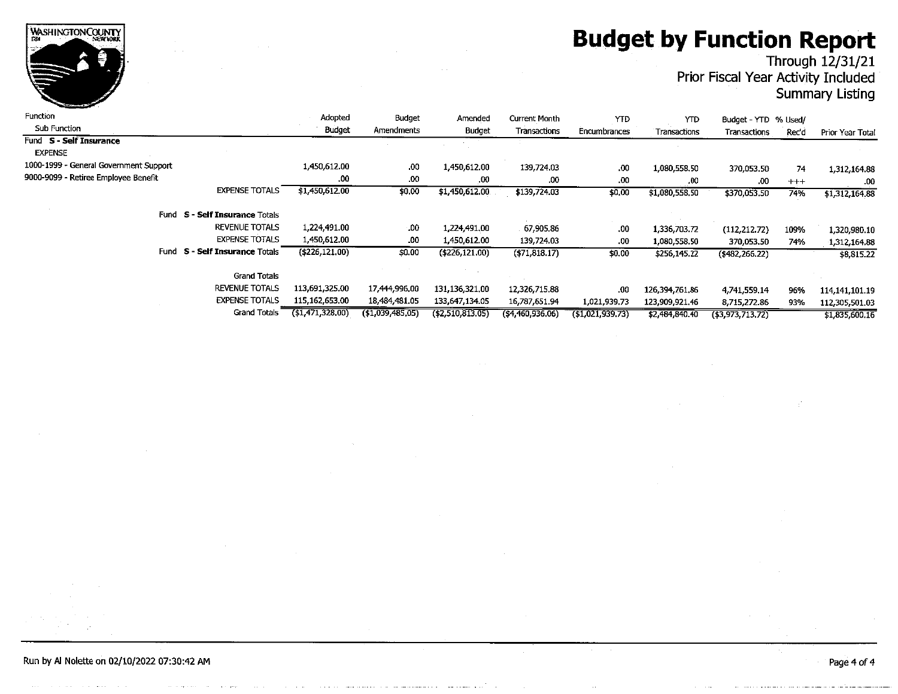# **Budget by Function Report<br>Through 12/31/21<br>Prior Fiscal Year Activity Included**

# **Summary Listing**

| <b>Function</b>                          | Adopted        | Budget            | Amended             | Current Month     | YTD             | <b>YTD</b>     | Budget - YTD % Used/ |         |                  |
|------------------------------------------|----------------|-------------------|---------------------|-------------------|-----------------|----------------|----------------------|---------|------------------|
| <b>Sub Function</b>                      | <b>Budget</b>  | Amendments        | Budget              | Transactions      | Encumbrances    | Transactions   | Transactions         | Rec'd   | Prior Year Total |
| Fund S - Self Insurance                  |                |                   |                     |                   |                 |                |                      |         |                  |
| <b>EXPENSE</b>                           |                |                   |                     |                   |                 |                |                      |         |                  |
| 1000-1999 - General Government Support   | 1,450,612.00   | .00               | 1,450,612.00        | 139,724.03        | .00             | 1,080,558.50   | 370,053.50           | 74      | 1,312,164.88     |
| 9000-9099 - Retiree Employee Benefit     | .00.           | .00               | .00                 | .00               | .00             | .00            | .00                  | $+ + +$ | .00.             |
| <b>EXPENSE TOTALS</b>                    | \$1,450,612.00 | \$0.00            | \$1,450.612.00      | \$139,724.03      | \$0.00          | \$1,080,558.50 | \$370,053,50         | 74%     | \$1,312,164.88   |
| <b>S - Self Insurance Totals</b><br>Fund |                |                   |                     |                   |                 |                |                      |         |                  |
| <b>REVENUE TOTALS</b>                    | 1,224,491.00   | .00.              | 1,224,491,00        | 67,905.86         | .00             | 1,336,703.72   | (112, 212, 72)       | 109%    | 1320,980.10      |
| <b>EXPENSE TOTALS</b>                    | 1,450,612.00   | .00               | 1,450,612.00        | 139,724.03        | .00.            | 1,080,558.50   | 370,053,50           | 74%     | 1,312,164.88     |
| S - Self Insurance Totals<br><b>Fund</b> | (\$226,121,00) | \$0.00            | ( \$226, 121.00)    | ( \$71, 818.17)   | \$0.00          | \$256,145.22   | $(*482,266.22)$      |         | \$8,815.22       |
| <b>Grand Totals</b>                      |                |                   |                     |                   |                 |                |                      |         |                  |
| <b>REVENUE TOTALS</b>                    | 113,691,325.00 | 17,444,996.00     | 131,136.321,00      | 12,326,715.88     | .00             | 126.394,761.86 | 4,741,559,14         | 96%     | 114.141,101.19   |
| <b>EXPENSE TOTALS</b>                    | 115,162,653.00 | 18,484,481.05     | 133,647.134.05      | 16,787,651.94     | 1.021,939.73    | 123,909,921,46 | 8,715,272.86         | 93%     | 112,305,501.03   |
| <b>Grand Totals</b>                      | (1,471,328,00) | ( \$1,039,485,05) | $($ \$2,510,813,05) | ( \$4,460,936,06) | (51,021,939,73) | \$2,484,840.40 | $($ \$3,973,713,72)  |         | \$1.835.600.16   |

Run by Al Nolette on 02/10/2022 07:30:42 AM

WASHINGTONCOUNTY

Page 4 of 4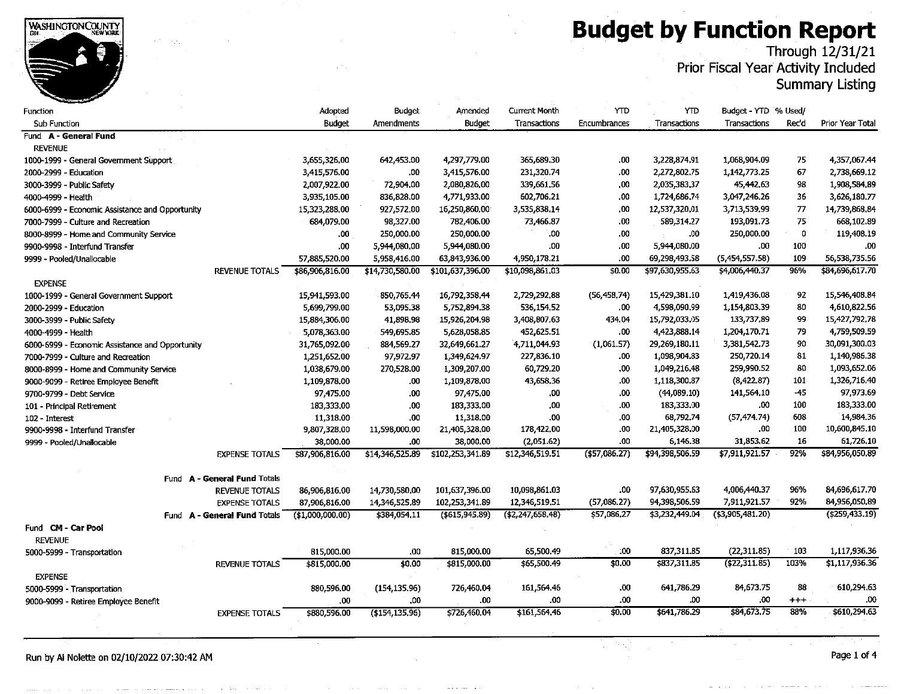# **Budget by Function Report**<br>Through 12/31/21<br>Prior Fiscal Year Activity Included

**Summary Listing** 

| Function                                        |                              | Adopted         | Budget            | Amended          | <b>Current Month</b> | <b>YTD</b>          | YTD             | Budget - YTD % Used/ |             |                   |
|-------------------------------------------------|------------------------------|-----------------|-------------------|------------------|----------------------|---------------------|-----------------|----------------------|-------------|-------------------|
| <b>Sub Function</b>                             |                              | <b>Budget</b>   | <b>Amendments</b> | Budget           | Transactions         | <b>Encumbrances</b> | Transactions    | Transactions         | Rec'd       | Prior Year Total  |
| Fund A - General Fund                           |                              |                 |                   |                  |                      |                     |                 |                      |             |                   |
| <b>REVENUE</b>                                  |                              |                 |                   |                  |                      |                     |                 |                      |             |                   |
| 1000-1999 - General Government Support          |                              | 3,655,326.00    | 642,453.00        | 4,297,779.00     | 365,689.30           | .00                 | 3,228,874.91    | 1,068,904.09         | 75          | 4,357,067.44      |
| 2000-2999 - Education                           |                              | 3,415,576.00    | .00               | 3,415,576,00     | 231,320.74           | 00.                 | 2,272,802.75    | 1,142,773.25         | 67          | 2,738,669.12      |
| 3000-3999 - Public Safety                       |                              | 2,007,922.00    | 72,904.00         | 2,080,826,00     | 339,661.56           | .00                 | 2,035,383.37    | 45,442,63            | 98          | 1,908,584.89      |
| 4000-4999 - Health                              |                              | 3,935,105.00    | 836,828.00        | 4,771,933,00     | 602,706.21           | .00                 | 1.724,686.74    | 3,047,246,26         | 36          | 3,626,180.77      |
| 6000-6999 - Economic Assistance and Opportunity |                              | 15,323,288,00   | 927,572.00        | 16,250,860.00    | 3,535,838.14         | .00                 | 12,537,320.01   | 3,713,539,99         | 77          | 14,739,868.84     |
| 7000-7999 - Culture and Recreation              |                              | 684,079.00      | 98,327.00         | 782,406.00       | 73,466.87            | .00                 | 589,314.27      | 193,091.73           | 75          | 668,102.89        |
| 8000-8999 - Home and Community Service          |                              | .00.            | 250,000.00        | 250,000.00       | 00.                  | .00.                | .00             | 250,000.00           | $\mathbf 0$ | 119,408.19        |
| 9900-9998 - Interfund Transfer                  |                              | .00.            | 5,944,080.00      | 5,944,080.00     | .00                  | .00                 | 5,944,080.00    | .00                  | 100         | .00               |
| 9999 - Pooled/Unallocable                       |                              | 57,885,520.00   | 5,958,416.00      | 63,843,936,00    | 4,950,178.21         | .00                 | 69,298,493.58   | (5,454,557.58)       | 109         | 56,538,735.56     |
|                                                 | <b>REVENUE TOTALS</b>        | \$86,906,816.00 | \$14,730,580.00   | \$101,637,396.00 | \$10,098,861,03      | \$0.00              | \$97,630,955.63 | \$4,006,440.37       | 96%         | \$84,696,617.70   |
| <b>EXPENSE</b>                                  |                              |                 |                   |                  |                      |                     |                 |                      |             |                   |
| 1000-1999 - General Government Support          |                              | 15,941,593.00   | 850,765.44        | 16,792,358.44    | 2,729,292,88         | (56, 458, 74)       | 15,429,381.10   | 1,419,436.08         | 92          | 15,546,408.84     |
| 2000-2999 - Education                           |                              | 5,699,799.00    | 53,095.38         | 5,752,894,38     | 536,154,52           | .00.                | 4,598,090.99    | 1,154,803.39         | 80          | 4,610,822.56      |
| 3000-3999 - Public Safety                       |                              | 15,884,306.00   | 41,898.98         | 15,926.204,98    | 3,408,807.63         | 434.04              | 15,792,033.05   | 133,737.89           | 99          | 15,427,792.78     |
| 4000-4999 - Health                              |                              | 5,078,363.00    | 549,695.85        | 5,628.058.85     | 452,625.51           | .00                 | 4,423,888.14    | 1,204,170.71         | 79          | 4,759,509.59      |
| 6000-6999 - Economic Assistance and Opportunity |                              | 31,765,092.00   | 884,569.27        | 32,649,661.27    | 4,711,044.93         | (1,061.57)          | 29,269,180.11   | 3,381,542.73         | 90          | 30,091,300.03     |
| 7000-7999 - Culture and Recreation              |                              | 1,251,652.00    | 97,972.97         | 1,349,624.97     | 227,836.10           | .00                 | 1,098,904.83    | 250,720.14           | 81          | 1,140,986.38      |
| 8000-8999 - Home and Community Service          |                              | 1,038,679.00    | 270,528.00        | 1,309,207.00     | 60,729.20            | .00                 | 1,049,216.48    | 259,990.52           | 80          | 1,093,652.06      |
| 9000-9099 - Retiree Employee Benefit            |                              | 1,109,878,00    | .00               | 1,109,878.00     | 43,658.36            | .00                 | 1,118,300.87    | (8,422,87)           | 101         | 1,326,716.40      |
| 9700-9799 - Debt Service                        |                              | 97,475.00       | .00               | 97,475.00        | .00                  | .00                 | (44,089.10)     | 141,564.10           | $-45$       | 97,973.69         |
| 101 - Principal Retirement                      |                              | 183,333.00      | .00               | 183,333.00       | .00                  | .00                 | 183,333.00      | .00                  | 100         | 183,333.00        |
| 102 - Interest                                  |                              | 11,318.00       | .00               | 11,318.00        | .00.                 | 00                  | 68,792.74       | (57.474.74)          | 608         | 14,984.36         |
| 9900-9998 - Interfund Transfer                  |                              | 9,807,328.00    | 11,598,000.00     | 21,405,328.00    | 178,422,00           | .00                 | 21,405,328.00   | .00                  | 100         | 10,600,845.10     |
| 9999 - Pooled/Unallocable                       |                              | 38,000.00       | .00               | 38,000.00        | (2,051.62)           | .00                 | 6,146.38        | 31,853.62            | 16          | 61,726.10         |
|                                                 | <b>EXPENSE TOTALS</b>        | \$87,906,816.00 | \$14,346,525.89   | \$102,253.341.89 | \$12,346,519.51      | $($ \$57,086.27)    | \$94,398,506.59 | \$7,911,921.57       | 92%         | \$84,956,050.89   |
|                                                 |                              |                 |                   |                  |                      |                     |                 |                      |             |                   |
|                                                 | Fund A - General Fund Totals |                 |                   |                  |                      |                     |                 |                      |             |                   |
|                                                 | <b>REVENUE TOTALS</b>        | 86,906,816.00   | 14,730,580.00     | 101,637,396.00   | 10,098,861.03        | .00                 | 97.630,955.63   | 4,006,440.37         | 96%         | 84,696,617.70     |
|                                                 | <b>EXPENSE TOTALS</b>        | 87,906,816.00   | 14,346,525.89     | 102,253,341.89   | 12,346,519.51        | (57,086,27)         | 94,398,506.59   | 7,911,921.57         | 92%         | 84,956,050.89     |
| <b>Fund</b>                                     | A - General Fund Totals      | (1,000,000.00)  | \$384,054.11      | ( \$615, 945.89) | (\$2,247,658.48)     | \$57,086,27         | \$3,232,449.04  | ( \$3,905,481.20)    |             | ( \$259, 433, 19) |
| Fund CM - Car Pool                              |                              |                 |                   |                  |                      |                     |                 |                      |             |                   |
| <b>REVENUE</b>                                  |                              |                 |                   |                  |                      |                     |                 |                      |             |                   |
| 5000-5999 - Transportation                      |                              | 815,000.00      | .00               | 815,000.00       | 65,500.49            | :00                 | 837,311.85      | (22.311.85)          | 103         | 1,117,936.36      |
|                                                 | <b>REVENUE TOTALS</b>        | \$815,000.00    | \$0.00            | \$815,000.00     | \$65,500.49          | \$0.00              | \$837,311.85    | (422.311.85)         | 103%        | \$1,117,936.36    |
| <b>EXPENSE</b>                                  |                              |                 |                   |                  |                      |                     |                 |                      |             |                   |
| 5000-5999 - Transportation                      |                              | 880,596.00      | (154, 135.96)     | 726,460.04       | 161,564.46           | .00                 | 641,786.29      | 84,673.75            | 88          | 610,294.63        |
| 9000-9099 - Retiree Employee Benefit            |                              | .00             | .00               | .00              | .00                  | .00                 | .00             | .00                  | $^{+++}$    | .00               |
|                                                 | <b>EXPENSE TOTALS</b>        | \$880,596.00    | (\$154.135.96)    | \$726,460.04     | \$161,564,46         | \$0.00              | \$641,786.29    | \$84,673,75          | 88%         | \$610,294.63      |
|                                                 |                              |                 |                   |                  |                      |                     |                 |                      |             |                   |
|                                                 |                              |                 |                   |                  |                      |                     |                 |                      |             |                   |

Run by Al Nolette on 02/10/2022 07:30:42 AM

WASHINGTON COUNTY

Page 1 of 4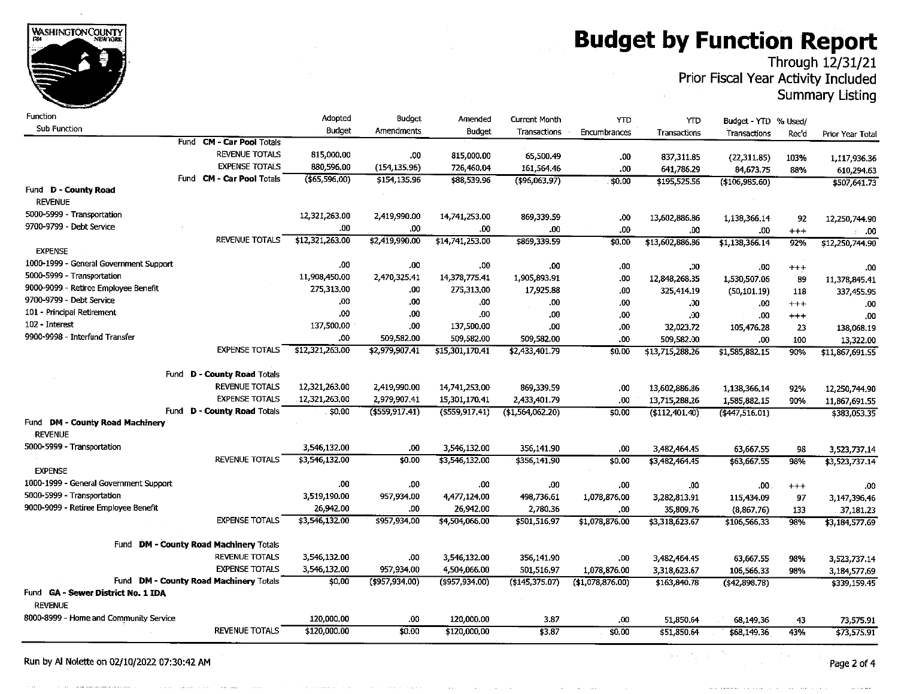# **Budget by Function Report**<br>Through 12/31/21



Prior Fiscal Year Activity Included **Summary Listing** 

| Function                                             |                                                        | Adopted          | <b>Budget</b>    | Amended           | <b>Current Month</b> | YTD               | <b>YTD</b>      | Budget - YTD % Used/ |          |                  |
|------------------------------------------------------|--------------------------------------------------------|------------------|------------------|-------------------|----------------------|-------------------|-----------------|----------------------|----------|------------------|
| Sub Function                                         |                                                        | Budget           | Amendments       | Budget            | Transactions         | Encumbrances      | Transactions    | Transactions         | Rec'd    | Prior Year Total |
|                                                      | Fund CM - Car Pool Totals                              |                  |                  |                   |                      |                   |                 |                      |          |                  |
|                                                      | <b>REVENUE TOTALS</b>                                  | 815,000.00       | .00              | 815,000.00        | 65,500.49            | .00               | 837, 311.85     | (22, 311.85)         | 103%     | 1,117,936.36     |
|                                                      | <b>EXPENSE TOTALS</b>                                  | 880,596,00       | (154.135.96)     | 726,460,04        | 161,564,46           | .00               | 641,786.29      | 84,673.75            | 88%      | 610,294.63       |
|                                                      | Fund <b>CM - Car Pool Totals</b>                       | $($ \$65,596,00) | \$154,135.96     | \$88,539.96       | ( \$96,063.97)       | \$0.00            | \$195,525.56    | $(*106,985.60)$      |          | \$507,641.73     |
| Fund D - County Road                                 |                                                        |                  |                  |                   |                      |                   |                 |                      |          |                  |
| <b>REVENUE</b>                                       |                                                        |                  |                  |                   |                      |                   |                 |                      |          |                  |
| 5000-5999 - Transportation                           |                                                        | 12,321,263.00    | 2,419,990.00     | 14,741,253.00     | 869.339.59           | .00               | 13.602,886.86   | 1,138,366.14         | 92       | 12,250,744.90    |
| 9700-9799 - Debt Service                             |                                                        | .00              | .00.             | .00               | .00                  | .00               | .00             | .00                  | $+++$    | .00              |
|                                                      | <b>REVENUE TOTALS</b>                                  | \$12,321,263.00  | \$2,419,990.00   | \$14,741,253.00   | \$869,339.59         | \$0.00            | \$13,602,886.86 | \$1,138,366.14       | 92%      | \$12,250,744.90  |
| <b>EXPENSE</b>                                       |                                                        |                  |                  |                   |                      |                   |                 |                      |          |                  |
| 1000-1999 - General Government Support               |                                                        | .00              | .00              | .00               | .00                  | .00               | $.00\,$         | .00                  | $^{+++}$ | .00              |
| 5000-5999 - Transportation                           |                                                        | 11,908,450.00    | 2,470,325.41     | 14,378,775.41     | 1,905,893.91         | .00               | 12,848,268.35   | 1,530,507.06         | 89       | 11.378,845.41    |
| 9000-9099 - Retiree Employee Benefit                 |                                                        | 275,313.00       | .00              | 275.313,00        | 17,925.88            | .00               | 325,414.19      | (50.101.19)          | 118      | 337,455.95       |
| 9700-9799 - Debt Service                             |                                                        | .00              | .00              | .00               | .00                  | .00               | .00             | .00                  | $+ + +$  | .00              |
| 101 - Principal Retirement                           |                                                        | .00              | 00.              | .00               | .00                  | .00               | .00             | .00                  | $^{+++}$ | ,00              |
| 102 - Interest                                       |                                                        | 137,500,00       | .00              | 137,500,00        | .00                  | .00               | 32,023.72       | 105,476.28           | 23       | 138,068.19       |
| 9900-9998 - Interfund Transfer                       |                                                        | .00              | 509,582.00       | 509,582.00        | 509,582.00           | .00               | 509,582.00      | .00                  | 100      | 13,322.00        |
|                                                      | <b>EXPENSE TOTALS</b>                                  | \$12,321,263.00  | \$2,979,907.41   | \$15,301,170.41   | \$2,433,401.79       | \$0.00            | \$13,715,288.26 | \$1,585,882.15       | 90%      | \$11,867,691.55  |
|                                                      |                                                        |                  |                  |                   |                      |                   |                 |                      |          |                  |
| Fund                                                 | <b>D - County Road Totals</b><br><b>REVENUE TOTALS</b> |                  |                  |                   |                      |                   |                 |                      |          |                  |
|                                                      |                                                        | 12,321,263,00    | 2,419,990.00     | 14,741,253,00     | 869,339,59           | .00               | 13,602,886.86   | 1,138,366,14         | 92%      | 12,250,744.90    |
| Fund                                                 | <b>EXPENSE TOTALS</b>                                  | 12,321,263,00    | 2,979,907.41     | 15,301,170.41     | 2,433,401.79         | .00               | 13,715,288.26   | 1,585,882.15         | 90%      | 11.867,691.55    |
| Fund DM - County Road Machinery                      | <b>D - County Road Totals</b>                          | \$0,00           | ( \$559, 917.41) | $($ \$559,917,41) | ( \$1,564,062.20)    | \$0.00            | (\$112,401,40)  | (4447, 516.01)       |          | \$383,053.35     |
| <b>REVENUE</b>                                       |                                                        |                  |                  |                   |                      |                   |                 |                      |          |                  |
| 5000-5999 - Transportation                           |                                                        | 3,546,132.00     | .00              | 3,546.132.00      |                      |                   |                 |                      |          |                  |
|                                                      | <b>REVENUE TOTALS</b>                                  | \$3,546,132.00   | \$0.00           | \$3,546,132.00    | 356,141.90           | .00               | 3.482,464.45    | 63,667.55            | 98       | 3,523,737.14     |
| <b>EXPENSE</b>                                       |                                                        |                  |                  |                   | \$356,141.90         | \$0.00            | \$3,482,464.45  | \$63,667.55          | 98%      | \$3,523,737.14   |
| 1000-1999 - General Government Support               |                                                        | .00              | .00              | .00               | .00                  | .00               | .00             | .00                  | $^{+++}$ | .00              |
| 5000-5999 - Transportation                           |                                                        | 3,519,190.00     | 957,934.00       | 4,477,124,00      | 498,736.61           | 1,078,876,00      | 3,282,813.91    | 115,434.09           | 97       | 3,147,396.46     |
| 9000-9099 - Retiree Employee Benefit                 |                                                        | 26,942.00        | ,00              | 26,942.00         | 2,780.36             | .00.              | 35,809.76       | (8,867,76)           | 133      | 37,181.23        |
|                                                      | <b>EXPENSE TOTALS</b>                                  | \$3,546,132.00   | \$957,934.00     | \$4,504,066.00    | \$501,516,97         | \$1,078,876.00    | \$3,318,623.67  | \$106,566,33         | 98%      | \$3,184,577.69   |
|                                                      |                                                        |                  |                  |                   |                      |                   |                 |                      |          |                  |
|                                                      | Fund DM - County Road Machinery Totals                 |                  |                  |                   |                      |                   |                 |                      |          |                  |
|                                                      | <b>REVENUE TOTALS</b>                                  | 3,546,132.00     | .00              | 3,546,132.00      | 356,141.90           | .00.              | 3,482,464.45    | 63,667.55            | 98%      | 3,523,737.14     |
|                                                      | <b>EXPENSE TOTALS</b>                                  | 3,546,132.00     | 957,934.00       | 4,504,066.00      | 501,516.97           | 1,078,876.00      | 3,318,623.67    | 106,566,33           | 98%      | 3,184,577.69     |
|                                                      | Fund DM - County Road Machinery Totals                 | \$0.00           | (\$957,934.00)   | $(*957, 934.00)$  | $($ \$145,375.07)    | ( \$1,078,876.00) | \$163,840.78    | (442.898.78)         |          | \$339,159.45     |
| Fund GA - Sewer District No. 1 IDA<br><b>REVENUE</b> |                                                        |                  |                  |                   |                      |                   |                 |                      |          |                  |
| 8000-8999 - Home and Community Service               |                                                        | 120,000,00       | .00              | 120,000.00        | 3.87                 | .00               | 51,850.64       | 68,149.36            | 43       | 73,575.91        |
|                                                      | <b>REVENUE TOTALS</b>                                  | \$120,000,00     | \$0.00           | \$120,000,00      | \$3.87               | \$0.00            | \$51,850.64     | \$68,149,36          | 43%      | \$73,575.91      |
|                                                      |                                                        |                  |                  |                   |                      |                   |                 |                      |          |                  |

Run by Al Nolette on 02/10/2022 07:30:42 AM

Page 2 of 4



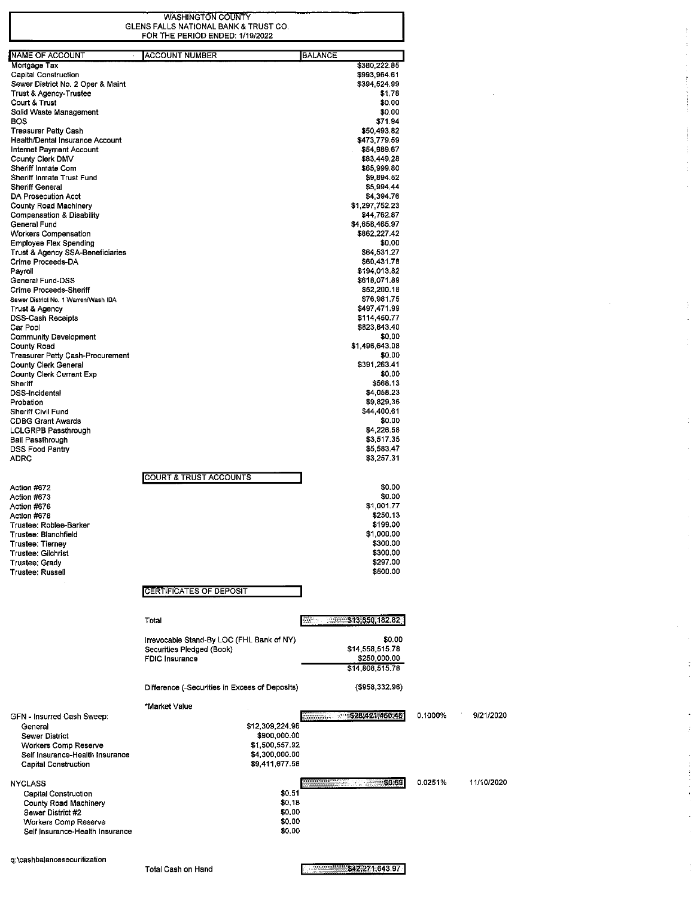WASHINGTON COUNTY<br>GLENS FALLS NATIONAL BANK & TRUST CO.<br>FOR THE PERIOD ENDED: 1/19/2022

 $\mathbf{j}$  $\bar{z}$ l,

 $\label{eq:2.1} \begin{array}{ll} \mathbf{1} & \mathbf{1} & \mathbf{1} & \mathbf{1} \\ \mathbf{1} & \mathbf{1} & \mathbf{1} & \mathbf{1} \\ \mathbf{1} & \mathbf{1} & \mathbf{1} & \mathbf{1} \\ \mathbf{1} & \mathbf{1} & \mathbf{1} & \mathbf{1} \\ \mathbf{1} & \mathbf{1} & \mathbf{1} & \mathbf{1} \\ \mathbf{1} & \mathbf{1} & \mathbf{1} & \mathbf{1} \\ \mathbf{1} & \mathbf{1} & \mathbf{1} & \mathbf{1} \\ \mathbf{1} & \$ 

 $\frac{1}{4}$ 

 $\ddot{\phantom{a}}$ 

 $\mathbb{F}$  $\hat{\mathcal{A}}$ 

 $\bar{z}$ 

 $\bar{z}$ 

 $\mathcal{A}^{\mathcal{A}}$ 

 $\frac{1}{3}$ 

 $\bar{\bar{z}}$  $\dot{\mathbb{I}}$ 

 $\frac{1}{2}$ 

 $\frac{1}{\sqrt{2}}$  $\bar{z}$ 

| ACCOUNT NUMBER<br><b>BALANCE</b><br>\$380,222.85<br>Mortgage Tax<br>Capital Construction<br>\$993,964.61<br>Sewer District No. 2 Oper & Maint<br>\$394,524.99<br>Trust & Agency-Trustee<br>\$1.78<br>Court & Trust<br>\$0.00<br>Solid Waste Management<br>\$0.00<br>\$71.94<br>BOS<br>Treasurer Petty Cash<br>\$50,493.82<br>Health/Dental Insurance Account<br>\$473,779.59<br>Internet Payment Account<br>\$54,989.67<br>County Clerk DMV<br>\$83,449.28<br>Sheriff Inmate Com<br>\$65,999.80<br>Sheriff Inmate Trust Fund<br>\$9,894.52<br>Sheriff General<br>\$5,994.44<br>DA Prosecution Acct<br>\$4,394.76<br>\$1,297,752.23<br>County Road Machinery<br>Compensation & Disability<br>\$44,762.87<br>General Fund<br>\$4,658,465.97<br><b>Workers Compensation</b><br>\$862,227.42<br>Employee Flex Spending<br>\$0.00<br>Trust & Agency SSA-Beneficiaries<br>\$64,531.27<br>Crime Proceeds-DA<br>\$60,431.78<br>Payroll<br>\$194,013.82<br>General Fund-DSS<br>\$618,071.89<br>\$52,200.18<br>\$76,981.75<br>Sewer District No. 1 Warren/Wash IDA<br>\$497,471.99<br>Trust & Agency<br>DSS-Cash Receipts<br>\$114,450.77<br>Car Pool<br>\$823,843.40<br>\$0.00<br><b>Community Development</b><br>\$1,496,643.08<br>County Road<br>Treasurer Petty Cash-Procurement<br>\$0.00<br>County Clerk General<br>\$391,263.41<br>County Clerk Current Exp<br>\$0.00<br>Shoriff<br>\$568.13<br>DSS-Incidental<br>\$4,058.23<br>\$9,829.36<br>Probation<br>Sheriff Civil Fund<br>\$44,400.61<br>\$0.00<br><b>CDBG Grant Awards</b><br>\$4,226.58<br>LCLGRPB Passthrough<br>\$3,517.35<br>Bail Passthrough<br>\$5,583.47<br>DSS Food Pantry<br>\$3,257.31<br>ADRC<br>COURT & TRUST ACCOUNTS<br>\$0.00<br>Action #672<br>\$0.00<br>Action #673<br>\$1,001.77<br>Action #676<br>\$250.13<br>Action #678<br>\$199.00<br>Trustee: Roblee-Barker<br>Trustee: Blanchfield<br>\$1,000.00<br>\$300.00<br>Trustee: Tiernev<br>\$300.00<br>Trustee: Gilchrist<br>\$297.00<br>Trustee: Grady<br><b>Trustee: Russell</b><br>\$500.00<br>CERTIFICATES OF DEPOSIT<br>\$13,850,182.82<br>Total<br>\$0.00<br>Irrevocable Stand-By LOC (FHL Bank of NY)<br>\$14,558,515.78<br>Securities Pledged (Book)<br>\$250,000.00<br><b>FDIC Insurance</b><br>\$14,808,515.78<br>Difference (-Securities in Excess of Deposits)<br>$($ \$958,332.96)<br>*Market Value<br>\$28,421,460.46<br>GFN - Insurred Cash Sweep:<br>\$12,309,224.96<br>General<br>Sewer District<br>\$900,000.00<br>Workers Comp Reserve<br>\$1,500,557.92<br>\$4,300,000.00<br>Self Insurance-Health Insurance<br>\$9,411,677.58<br><b>Capital Construction</b><br>\$0.69<br><b>NYCLASS</b><br>\$0.51<br>Capital Construction<br>\$0,18<br>County Road Machinery<br>\$0.00<br>Sewer District #2<br>\$0.00<br>Workers Comp Reserve<br>\$0.00<br>Self Insurance-Health Insurance |                        |  |
|------------------------------------------------------------------------------------------------------------------------------------------------------------------------------------------------------------------------------------------------------------------------------------------------------------------------------------------------------------------------------------------------------------------------------------------------------------------------------------------------------------------------------------------------------------------------------------------------------------------------------------------------------------------------------------------------------------------------------------------------------------------------------------------------------------------------------------------------------------------------------------------------------------------------------------------------------------------------------------------------------------------------------------------------------------------------------------------------------------------------------------------------------------------------------------------------------------------------------------------------------------------------------------------------------------------------------------------------------------------------------------------------------------------------------------------------------------------------------------------------------------------------------------------------------------------------------------------------------------------------------------------------------------------------------------------------------------------------------------------------------------------------------------------------------------------------------------------------------------------------------------------------------------------------------------------------------------------------------------------------------------------------------------------------------------------------------------------------------------------------------------------------------------------------------------------------------------------------------------------------------------------------------------------------------------------------------------------------------------------------------------------------------------------------------------------------------------------------------------------------------------------------------------------------------------------------------------------------------------------------------------------------------------------------------------------------------------------------------------------------------------------------------------------------------------------------|------------------------|--|
|                                                                                                                                                                                                                                                                                                                                                                                                                                                                                                                                                                                                                                                                                                                                                                                                                                                                                                                                                                                                                                                                                                                                                                                                                                                                                                                                                                                                                                                                                                                                                                                                                                                                                                                                                                                                                                                                                                                                                                                                                                                                                                                                                                                                                                                                                                                                                                                                                                                                                                                                                                                                                                                                                                                                                                                                                        | NAME OF ACCOUNT        |  |
|                                                                                                                                                                                                                                                                                                                                                                                                                                                                                                                                                                                                                                                                                                                                                                                                                                                                                                                                                                                                                                                                                                                                                                                                                                                                                                                                                                                                                                                                                                                                                                                                                                                                                                                                                                                                                                                                                                                                                                                                                                                                                                                                                                                                                                                                                                                                                                                                                                                                                                                                                                                                                                                                                                                                                                                                                        |                        |  |
|                                                                                                                                                                                                                                                                                                                                                                                                                                                                                                                                                                                                                                                                                                                                                                                                                                                                                                                                                                                                                                                                                                                                                                                                                                                                                                                                                                                                                                                                                                                                                                                                                                                                                                                                                                                                                                                                                                                                                                                                                                                                                                                                                                                                                                                                                                                                                                                                                                                                                                                                                                                                                                                                                                                                                                                                                        |                        |  |
|                                                                                                                                                                                                                                                                                                                                                                                                                                                                                                                                                                                                                                                                                                                                                                                                                                                                                                                                                                                                                                                                                                                                                                                                                                                                                                                                                                                                                                                                                                                                                                                                                                                                                                                                                                                                                                                                                                                                                                                                                                                                                                                                                                                                                                                                                                                                                                                                                                                                                                                                                                                                                                                                                                                                                                                                                        |                        |  |
|                                                                                                                                                                                                                                                                                                                                                                                                                                                                                                                                                                                                                                                                                                                                                                                                                                                                                                                                                                                                                                                                                                                                                                                                                                                                                                                                                                                                                                                                                                                                                                                                                                                                                                                                                                                                                                                                                                                                                                                                                                                                                                                                                                                                                                                                                                                                                                                                                                                                                                                                                                                                                                                                                                                                                                                                                        |                        |  |
|                                                                                                                                                                                                                                                                                                                                                                                                                                                                                                                                                                                                                                                                                                                                                                                                                                                                                                                                                                                                                                                                                                                                                                                                                                                                                                                                                                                                                                                                                                                                                                                                                                                                                                                                                                                                                                                                                                                                                                                                                                                                                                                                                                                                                                                                                                                                                                                                                                                                                                                                                                                                                                                                                                                                                                                                                        |                        |  |
|                                                                                                                                                                                                                                                                                                                                                                                                                                                                                                                                                                                                                                                                                                                                                                                                                                                                                                                                                                                                                                                                                                                                                                                                                                                                                                                                                                                                                                                                                                                                                                                                                                                                                                                                                                                                                                                                                                                                                                                                                                                                                                                                                                                                                                                                                                                                                                                                                                                                                                                                                                                                                                                                                                                                                                                                                        |                        |  |
|                                                                                                                                                                                                                                                                                                                                                                                                                                                                                                                                                                                                                                                                                                                                                                                                                                                                                                                                                                                                                                                                                                                                                                                                                                                                                                                                                                                                                                                                                                                                                                                                                                                                                                                                                                                                                                                                                                                                                                                                                                                                                                                                                                                                                                                                                                                                                                                                                                                                                                                                                                                                                                                                                                                                                                                                                        |                        |  |
|                                                                                                                                                                                                                                                                                                                                                                                                                                                                                                                                                                                                                                                                                                                                                                                                                                                                                                                                                                                                                                                                                                                                                                                                                                                                                                                                                                                                                                                                                                                                                                                                                                                                                                                                                                                                                                                                                                                                                                                                                                                                                                                                                                                                                                                                                                                                                                                                                                                                                                                                                                                                                                                                                                                                                                                                                        |                        |  |
|                                                                                                                                                                                                                                                                                                                                                                                                                                                                                                                                                                                                                                                                                                                                                                                                                                                                                                                                                                                                                                                                                                                                                                                                                                                                                                                                                                                                                                                                                                                                                                                                                                                                                                                                                                                                                                                                                                                                                                                                                                                                                                                                                                                                                                                                                                                                                                                                                                                                                                                                                                                                                                                                                                                                                                                                                        |                        |  |
|                                                                                                                                                                                                                                                                                                                                                                                                                                                                                                                                                                                                                                                                                                                                                                                                                                                                                                                                                                                                                                                                                                                                                                                                                                                                                                                                                                                                                                                                                                                                                                                                                                                                                                                                                                                                                                                                                                                                                                                                                                                                                                                                                                                                                                                                                                                                                                                                                                                                                                                                                                                                                                                                                                                                                                                                                        |                        |  |
|                                                                                                                                                                                                                                                                                                                                                                                                                                                                                                                                                                                                                                                                                                                                                                                                                                                                                                                                                                                                                                                                                                                                                                                                                                                                                                                                                                                                                                                                                                                                                                                                                                                                                                                                                                                                                                                                                                                                                                                                                                                                                                                                                                                                                                                                                                                                                                                                                                                                                                                                                                                                                                                                                                                                                                                                                        |                        |  |
|                                                                                                                                                                                                                                                                                                                                                                                                                                                                                                                                                                                                                                                                                                                                                                                                                                                                                                                                                                                                                                                                                                                                                                                                                                                                                                                                                                                                                                                                                                                                                                                                                                                                                                                                                                                                                                                                                                                                                                                                                                                                                                                                                                                                                                                                                                                                                                                                                                                                                                                                                                                                                                                                                                                                                                                                                        |                        |  |
|                                                                                                                                                                                                                                                                                                                                                                                                                                                                                                                                                                                                                                                                                                                                                                                                                                                                                                                                                                                                                                                                                                                                                                                                                                                                                                                                                                                                                                                                                                                                                                                                                                                                                                                                                                                                                                                                                                                                                                                                                                                                                                                                                                                                                                                                                                                                                                                                                                                                                                                                                                                                                                                                                                                                                                                                                        |                        |  |
|                                                                                                                                                                                                                                                                                                                                                                                                                                                                                                                                                                                                                                                                                                                                                                                                                                                                                                                                                                                                                                                                                                                                                                                                                                                                                                                                                                                                                                                                                                                                                                                                                                                                                                                                                                                                                                                                                                                                                                                                                                                                                                                                                                                                                                                                                                                                                                                                                                                                                                                                                                                                                                                                                                                                                                                                                        |                        |  |
|                                                                                                                                                                                                                                                                                                                                                                                                                                                                                                                                                                                                                                                                                                                                                                                                                                                                                                                                                                                                                                                                                                                                                                                                                                                                                                                                                                                                                                                                                                                                                                                                                                                                                                                                                                                                                                                                                                                                                                                                                                                                                                                                                                                                                                                                                                                                                                                                                                                                                                                                                                                                                                                                                                                                                                                                                        |                        |  |
|                                                                                                                                                                                                                                                                                                                                                                                                                                                                                                                                                                                                                                                                                                                                                                                                                                                                                                                                                                                                                                                                                                                                                                                                                                                                                                                                                                                                                                                                                                                                                                                                                                                                                                                                                                                                                                                                                                                                                                                                                                                                                                                                                                                                                                                                                                                                                                                                                                                                                                                                                                                                                                                                                                                                                                                                                        |                        |  |
|                                                                                                                                                                                                                                                                                                                                                                                                                                                                                                                                                                                                                                                                                                                                                                                                                                                                                                                                                                                                                                                                                                                                                                                                                                                                                                                                                                                                                                                                                                                                                                                                                                                                                                                                                                                                                                                                                                                                                                                                                                                                                                                                                                                                                                                                                                                                                                                                                                                                                                                                                                                                                                                                                                                                                                                                                        |                        |  |
|                                                                                                                                                                                                                                                                                                                                                                                                                                                                                                                                                                                                                                                                                                                                                                                                                                                                                                                                                                                                                                                                                                                                                                                                                                                                                                                                                                                                                                                                                                                                                                                                                                                                                                                                                                                                                                                                                                                                                                                                                                                                                                                                                                                                                                                                                                                                                                                                                                                                                                                                                                                                                                                                                                                                                                                                                        |                        |  |
|                                                                                                                                                                                                                                                                                                                                                                                                                                                                                                                                                                                                                                                                                                                                                                                                                                                                                                                                                                                                                                                                                                                                                                                                                                                                                                                                                                                                                                                                                                                                                                                                                                                                                                                                                                                                                                                                                                                                                                                                                                                                                                                                                                                                                                                                                                                                                                                                                                                                                                                                                                                                                                                                                                                                                                                                                        |                        |  |
|                                                                                                                                                                                                                                                                                                                                                                                                                                                                                                                                                                                                                                                                                                                                                                                                                                                                                                                                                                                                                                                                                                                                                                                                                                                                                                                                                                                                                                                                                                                                                                                                                                                                                                                                                                                                                                                                                                                                                                                                                                                                                                                                                                                                                                                                                                                                                                                                                                                                                                                                                                                                                                                                                                                                                                                                                        |                        |  |
|                                                                                                                                                                                                                                                                                                                                                                                                                                                                                                                                                                                                                                                                                                                                                                                                                                                                                                                                                                                                                                                                                                                                                                                                                                                                                                                                                                                                                                                                                                                                                                                                                                                                                                                                                                                                                                                                                                                                                                                                                                                                                                                                                                                                                                                                                                                                                                                                                                                                                                                                                                                                                                                                                                                                                                                                                        |                        |  |
|                                                                                                                                                                                                                                                                                                                                                                                                                                                                                                                                                                                                                                                                                                                                                                                                                                                                                                                                                                                                                                                                                                                                                                                                                                                                                                                                                                                                                                                                                                                                                                                                                                                                                                                                                                                                                                                                                                                                                                                                                                                                                                                                                                                                                                                                                                                                                                                                                                                                                                                                                                                                                                                                                                                                                                                                                        |                        |  |
|                                                                                                                                                                                                                                                                                                                                                                                                                                                                                                                                                                                                                                                                                                                                                                                                                                                                                                                                                                                                                                                                                                                                                                                                                                                                                                                                                                                                                                                                                                                                                                                                                                                                                                                                                                                                                                                                                                                                                                                                                                                                                                                                                                                                                                                                                                                                                                                                                                                                                                                                                                                                                                                                                                                                                                                                                        |                        |  |
|                                                                                                                                                                                                                                                                                                                                                                                                                                                                                                                                                                                                                                                                                                                                                                                                                                                                                                                                                                                                                                                                                                                                                                                                                                                                                                                                                                                                                                                                                                                                                                                                                                                                                                                                                                                                                                                                                                                                                                                                                                                                                                                                                                                                                                                                                                                                                                                                                                                                                                                                                                                                                                                                                                                                                                                                                        | Crime Proceeds-Sheriff |  |
|                                                                                                                                                                                                                                                                                                                                                                                                                                                                                                                                                                                                                                                                                                                                                                                                                                                                                                                                                                                                                                                                                                                                                                                                                                                                                                                                                                                                                                                                                                                                                                                                                                                                                                                                                                                                                                                                                                                                                                                                                                                                                                                                                                                                                                                                                                                                                                                                                                                                                                                                                                                                                                                                                                                                                                                                                        |                        |  |
|                                                                                                                                                                                                                                                                                                                                                                                                                                                                                                                                                                                                                                                                                                                                                                                                                                                                                                                                                                                                                                                                                                                                                                                                                                                                                                                                                                                                                                                                                                                                                                                                                                                                                                                                                                                                                                                                                                                                                                                                                                                                                                                                                                                                                                                                                                                                                                                                                                                                                                                                                                                                                                                                                                                                                                                                                        |                        |  |
|                                                                                                                                                                                                                                                                                                                                                                                                                                                                                                                                                                                                                                                                                                                                                                                                                                                                                                                                                                                                                                                                                                                                                                                                                                                                                                                                                                                                                                                                                                                                                                                                                                                                                                                                                                                                                                                                                                                                                                                                                                                                                                                                                                                                                                                                                                                                                                                                                                                                                                                                                                                                                                                                                                                                                                                                                        |                        |  |
|                                                                                                                                                                                                                                                                                                                                                                                                                                                                                                                                                                                                                                                                                                                                                                                                                                                                                                                                                                                                                                                                                                                                                                                                                                                                                                                                                                                                                                                                                                                                                                                                                                                                                                                                                                                                                                                                                                                                                                                                                                                                                                                                                                                                                                                                                                                                                                                                                                                                                                                                                                                                                                                                                                                                                                                                                        |                        |  |
|                                                                                                                                                                                                                                                                                                                                                                                                                                                                                                                                                                                                                                                                                                                                                                                                                                                                                                                                                                                                                                                                                                                                                                                                                                                                                                                                                                                                                                                                                                                                                                                                                                                                                                                                                                                                                                                                                                                                                                                                                                                                                                                                                                                                                                                                                                                                                                                                                                                                                                                                                                                                                                                                                                                                                                                                                        |                        |  |
|                                                                                                                                                                                                                                                                                                                                                                                                                                                                                                                                                                                                                                                                                                                                                                                                                                                                                                                                                                                                                                                                                                                                                                                                                                                                                                                                                                                                                                                                                                                                                                                                                                                                                                                                                                                                                                                                                                                                                                                                                                                                                                                                                                                                                                                                                                                                                                                                                                                                                                                                                                                                                                                                                                                                                                                                                        |                        |  |
|                                                                                                                                                                                                                                                                                                                                                                                                                                                                                                                                                                                                                                                                                                                                                                                                                                                                                                                                                                                                                                                                                                                                                                                                                                                                                                                                                                                                                                                                                                                                                                                                                                                                                                                                                                                                                                                                                                                                                                                                                                                                                                                                                                                                                                                                                                                                                                                                                                                                                                                                                                                                                                                                                                                                                                                                                        |                        |  |
|                                                                                                                                                                                                                                                                                                                                                                                                                                                                                                                                                                                                                                                                                                                                                                                                                                                                                                                                                                                                                                                                                                                                                                                                                                                                                                                                                                                                                                                                                                                                                                                                                                                                                                                                                                                                                                                                                                                                                                                                                                                                                                                                                                                                                                                                                                                                                                                                                                                                                                                                                                                                                                                                                                                                                                                                                        |                        |  |
|                                                                                                                                                                                                                                                                                                                                                                                                                                                                                                                                                                                                                                                                                                                                                                                                                                                                                                                                                                                                                                                                                                                                                                                                                                                                                                                                                                                                                                                                                                                                                                                                                                                                                                                                                                                                                                                                                                                                                                                                                                                                                                                                                                                                                                                                                                                                                                                                                                                                                                                                                                                                                                                                                                                                                                                                                        |                        |  |
|                                                                                                                                                                                                                                                                                                                                                                                                                                                                                                                                                                                                                                                                                                                                                                                                                                                                                                                                                                                                                                                                                                                                                                                                                                                                                                                                                                                                                                                                                                                                                                                                                                                                                                                                                                                                                                                                                                                                                                                                                                                                                                                                                                                                                                                                                                                                                                                                                                                                                                                                                                                                                                                                                                                                                                                                                        |                        |  |
|                                                                                                                                                                                                                                                                                                                                                                                                                                                                                                                                                                                                                                                                                                                                                                                                                                                                                                                                                                                                                                                                                                                                                                                                                                                                                                                                                                                                                                                                                                                                                                                                                                                                                                                                                                                                                                                                                                                                                                                                                                                                                                                                                                                                                                                                                                                                                                                                                                                                                                                                                                                                                                                                                                                                                                                                                        |                        |  |
|                                                                                                                                                                                                                                                                                                                                                                                                                                                                                                                                                                                                                                                                                                                                                                                                                                                                                                                                                                                                                                                                                                                                                                                                                                                                                                                                                                                                                                                                                                                                                                                                                                                                                                                                                                                                                                                                                                                                                                                                                                                                                                                                                                                                                                                                                                                                                                                                                                                                                                                                                                                                                                                                                                                                                                                                                        |                        |  |
|                                                                                                                                                                                                                                                                                                                                                                                                                                                                                                                                                                                                                                                                                                                                                                                                                                                                                                                                                                                                                                                                                                                                                                                                                                                                                                                                                                                                                                                                                                                                                                                                                                                                                                                                                                                                                                                                                                                                                                                                                                                                                                                                                                                                                                                                                                                                                                                                                                                                                                                                                                                                                                                                                                                                                                                                                        |                        |  |
|                                                                                                                                                                                                                                                                                                                                                                                                                                                                                                                                                                                                                                                                                                                                                                                                                                                                                                                                                                                                                                                                                                                                                                                                                                                                                                                                                                                                                                                                                                                                                                                                                                                                                                                                                                                                                                                                                                                                                                                                                                                                                                                                                                                                                                                                                                                                                                                                                                                                                                                                                                                                                                                                                                                                                                                                                        |                        |  |
|                                                                                                                                                                                                                                                                                                                                                                                                                                                                                                                                                                                                                                                                                                                                                                                                                                                                                                                                                                                                                                                                                                                                                                                                                                                                                                                                                                                                                                                                                                                                                                                                                                                                                                                                                                                                                                                                                                                                                                                                                                                                                                                                                                                                                                                                                                                                                                                                                                                                                                                                                                                                                                                                                                                                                                                                                        |                        |  |
|                                                                                                                                                                                                                                                                                                                                                                                                                                                                                                                                                                                                                                                                                                                                                                                                                                                                                                                                                                                                                                                                                                                                                                                                                                                                                                                                                                                                                                                                                                                                                                                                                                                                                                                                                                                                                                                                                                                                                                                                                                                                                                                                                                                                                                                                                                                                                                                                                                                                                                                                                                                                                                                                                                                                                                                                                        |                        |  |
|                                                                                                                                                                                                                                                                                                                                                                                                                                                                                                                                                                                                                                                                                                                                                                                                                                                                                                                                                                                                                                                                                                                                                                                                                                                                                                                                                                                                                                                                                                                                                                                                                                                                                                                                                                                                                                                                                                                                                                                                                                                                                                                                                                                                                                                                                                                                                                                                                                                                                                                                                                                                                                                                                                                                                                                                                        |                        |  |
|                                                                                                                                                                                                                                                                                                                                                                                                                                                                                                                                                                                                                                                                                                                                                                                                                                                                                                                                                                                                                                                                                                                                                                                                                                                                                                                                                                                                                                                                                                                                                                                                                                                                                                                                                                                                                                                                                                                                                                                                                                                                                                                                                                                                                                                                                                                                                                                                                                                                                                                                                                                                                                                                                                                                                                                                                        |                        |  |
|                                                                                                                                                                                                                                                                                                                                                                                                                                                                                                                                                                                                                                                                                                                                                                                                                                                                                                                                                                                                                                                                                                                                                                                                                                                                                                                                                                                                                                                                                                                                                                                                                                                                                                                                                                                                                                                                                                                                                                                                                                                                                                                                                                                                                                                                                                                                                                                                                                                                                                                                                                                                                                                                                                                                                                                                                        |                        |  |
|                                                                                                                                                                                                                                                                                                                                                                                                                                                                                                                                                                                                                                                                                                                                                                                                                                                                                                                                                                                                                                                                                                                                                                                                                                                                                                                                                                                                                                                                                                                                                                                                                                                                                                                                                                                                                                                                                                                                                                                                                                                                                                                                                                                                                                                                                                                                                                                                                                                                                                                                                                                                                                                                                                                                                                                                                        |                        |  |
|                                                                                                                                                                                                                                                                                                                                                                                                                                                                                                                                                                                                                                                                                                                                                                                                                                                                                                                                                                                                                                                                                                                                                                                                                                                                                                                                                                                                                                                                                                                                                                                                                                                                                                                                                                                                                                                                                                                                                                                                                                                                                                                                                                                                                                                                                                                                                                                                                                                                                                                                                                                                                                                                                                                                                                                                                        |                        |  |
|                                                                                                                                                                                                                                                                                                                                                                                                                                                                                                                                                                                                                                                                                                                                                                                                                                                                                                                                                                                                                                                                                                                                                                                                                                                                                                                                                                                                                                                                                                                                                                                                                                                                                                                                                                                                                                                                                                                                                                                                                                                                                                                                                                                                                                                                                                                                                                                                                                                                                                                                                                                                                                                                                                                                                                                                                        |                        |  |
|                                                                                                                                                                                                                                                                                                                                                                                                                                                                                                                                                                                                                                                                                                                                                                                                                                                                                                                                                                                                                                                                                                                                                                                                                                                                                                                                                                                                                                                                                                                                                                                                                                                                                                                                                                                                                                                                                                                                                                                                                                                                                                                                                                                                                                                                                                                                                                                                                                                                                                                                                                                                                                                                                                                                                                                                                        |                        |  |
|                                                                                                                                                                                                                                                                                                                                                                                                                                                                                                                                                                                                                                                                                                                                                                                                                                                                                                                                                                                                                                                                                                                                                                                                                                                                                                                                                                                                                                                                                                                                                                                                                                                                                                                                                                                                                                                                                                                                                                                                                                                                                                                                                                                                                                                                                                                                                                                                                                                                                                                                                                                                                                                                                                                                                                                                                        |                        |  |
|                                                                                                                                                                                                                                                                                                                                                                                                                                                                                                                                                                                                                                                                                                                                                                                                                                                                                                                                                                                                                                                                                                                                                                                                                                                                                                                                                                                                                                                                                                                                                                                                                                                                                                                                                                                                                                                                                                                                                                                                                                                                                                                                                                                                                                                                                                                                                                                                                                                                                                                                                                                                                                                                                                                                                                                                                        |                        |  |
|                                                                                                                                                                                                                                                                                                                                                                                                                                                                                                                                                                                                                                                                                                                                                                                                                                                                                                                                                                                                                                                                                                                                                                                                                                                                                                                                                                                                                                                                                                                                                                                                                                                                                                                                                                                                                                                                                                                                                                                                                                                                                                                                                                                                                                                                                                                                                                                                                                                                                                                                                                                                                                                                                                                                                                                                                        |                        |  |
|                                                                                                                                                                                                                                                                                                                                                                                                                                                                                                                                                                                                                                                                                                                                                                                                                                                                                                                                                                                                                                                                                                                                                                                                                                                                                                                                                                                                                                                                                                                                                                                                                                                                                                                                                                                                                                                                                                                                                                                                                                                                                                                                                                                                                                                                                                                                                                                                                                                                                                                                                                                                                                                                                                                                                                                                                        |                        |  |
|                                                                                                                                                                                                                                                                                                                                                                                                                                                                                                                                                                                                                                                                                                                                                                                                                                                                                                                                                                                                                                                                                                                                                                                                                                                                                                                                                                                                                                                                                                                                                                                                                                                                                                                                                                                                                                                                                                                                                                                                                                                                                                                                                                                                                                                                                                                                                                                                                                                                                                                                                                                                                                                                                                                                                                                                                        |                        |  |
|                                                                                                                                                                                                                                                                                                                                                                                                                                                                                                                                                                                                                                                                                                                                                                                                                                                                                                                                                                                                                                                                                                                                                                                                                                                                                                                                                                                                                                                                                                                                                                                                                                                                                                                                                                                                                                                                                                                                                                                                                                                                                                                                                                                                                                                                                                                                                                                                                                                                                                                                                                                                                                                                                                                                                                                                                        |                        |  |
|                                                                                                                                                                                                                                                                                                                                                                                                                                                                                                                                                                                                                                                                                                                                                                                                                                                                                                                                                                                                                                                                                                                                                                                                                                                                                                                                                                                                                                                                                                                                                                                                                                                                                                                                                                                                                                                                                                                                                                                                                                                                                                                                                                                                                                                                                                                                                                                                                                                                                                                                                                                                                                                                                                                                                                                                                        |                        |  |
|                                                                                                                                                                                                                                                                                                                                                                                                                                                                                                                                                                                                                                                                                                                                                                                                                                                                                                                                                                                                                                                                                                                                                                                                                                                                                                                                                                                                                                                                                                                                                                                                                                                                                                                                                                                                                                                                                                                                                                                                                                                                                                                                                                                                                                                                                                                                                                                                                                                                                                                                                                                                                                                                                                                                                                                                                        |                        |  |
|                                                                                                                                                                                                                                                                                                                                                                                                                                                                                                                                                                                                                                                                                                                                                                                                                                                                                                                                                                                                                                                                                                                                                                                                                                                                                                                                                                                                                                                                                                                                                                                                                                                                                                                                                                                                                                                                                                                                                                                                                                                                                                                                                                                                                                                                                                                                                                                                                                                                                                                                                                                                                                                                                                                                                                                                                        |                        |  |
|                                                                                                                                                                                                                                                                                                                                                                                                                                                                                                                                                                                                                                                                                                                                                                                                                                                                                                                                                                                                                                                                                                                                                                                                                                                                                                                                                                                                                                                                                                                                                                                                                                                                                                                                                                                                                                                                                                                                                                                                                                                                                                                                                                                                                                                                                                                                                                                                                                                                                                                                                                                                                                                                                                                                                                                                                        |                        |  |
|                                                                                                                                                                                                                                                                                                                                                                                                                                                                                                                                                                                                                                                                                                                                                                                                                                                                                                                                                                                                                                                                                                                                                                                                                                                                                                                                                                                                                                                                                                                                                                                                                                                                                                                                                                                                                                                                                                                                                                                                                                                                                                                                                                                                                                                                                                                                                                                                                                                                                                                                                                                                                                                                                                                                                                                                                        |                        |  |
|                                                                                                                                                                                                                                                                                                                                                                                                                                                                                                                                                                                                                                                                                                                                                                                                                                                                                                                                                                                                                                                                                                                                                                                                                                                                                                                                                                                                                                                                                                                                                                                                                                                                                                                                                                                                                                                                                                                                                                                                                                                                                                                                                                                                                                                                                                                                                                                                                                                                                                                                                                                                                                                                                                                                                                                                                        |                        |  |
|                                                                                                                                                                                                                                                                                                                                                                                                                                                                                                                                                                                                                                                                                                                                                                                                                                                                                                                                                                                                                                                                                                                                                                                                                                                                                                                                                                                                                                                                                                                                                                                                                                                                                                                                                                                                                                                                                                                                                                                                                                                                                                                                                                                                                                                                                                                                                                                                                                                                                                                                                                                                                                                                                                                                                                                                                        |                        |  |
|                                                                                                                                                                                                                                                                                                                                                                                                                                                                                                                                                                                                                                                                                                                                                                                                                                                                                                                                                                                                                                                                                                                                                                                                                                                                                                                                                                                                                                                                                                                                                                                                                                                                                                                                                                                                                                                                                                                                                                                                                                                                                                                                                                                                                                                                                                                                                                                                                                                                                                                                                                                                                                                                                                                                                                                                                        |                        |  |
|                                                                                                                                                                                                                                                                                                                                                                                                                                                                                                                                                                                                                                                                                                                                                                                                                                                                                                                                                                                                                                                                                                                                                                                                                                                                                                                                                                                                                                                                                                                                                                                                                                                                                                                                                                                                                                                                                                                                                                                                                                                                                                                                                                                                                                                                                                                                                                                                                                                                                                                                                                                                                                                                                                                                                                                                                        |                        |  |
|                                                                                                                                                                                                                                                                                                                                                                                                                                                                                                                                                                                                                                                                                                                                                                                                                                                                                                                                                                                                                                                                                                                                                                                                                                                                                                                                                                                                                                                                                                                                                                                                                                                                                                                                                                                                                                                                                                                                                                                                                                                                                                                                                                                                                                                                                                                                                                                                                                                                                                                                                                                                                                                                                                                                                                                                                        |                        |  |
|                                                                                                                                                                                                                                                                                                                                                                                                                                                                                                                                                                                                                                                                                                                                                                                                                                                                                                                                                                                                                                                                                                                                                                                                                                                                                                                                                                                                                                                                                                                                                                                                                                                                                                                                                                                                                                                                                                                                                                                                                                                                                                                                                                                                                                                                                                                                                                                                                                                                                                                                                                                                                                                                                                                                                                                                                        |                        |  |
|                                                                                                                                                                                                                                                                                                                                                                                                                                                                                                                                                                                                                                                                                                                                                                                                                                                                                                                                                                                                                                                                                                                                                                                                                                                                                                                                                                                                                                                                                                                                                                                                                                                                                                                                                                                                                                                                                                                                                                                                                                                                                                                                                                                                                                                                                                                                                                                                                                                                                                                                                                                                                                                                                                                                                                                                                        |                        |  |
|                                                                                                                                                                                                                                                                                                                                                                                                                                                                                                                                                                                                                                                                                                                                                                                                                                                                                                                                                                                                                                                                                                                                                                                                                                                                                                                                                                                                                                                                                                                                                                                                                                                                                                                                                                                                                                                                                                                                                                                                                                                                                                                                                                                                                                                                                                                                                                                                                                                                                                                                                                                                                                                                                                                                                                                                                        |                        |  |
|                                                                                                                                                                                                                                                                                                                                                                                                                                                                                                                                                                                                                                                                                                                                                                                                                                                                                                                                                                                                                                                                                                                                                                                                                                                                                                                                                                                                                                                                                                                                                                                                                                                                                                                                                                                                                                                                                                                                                                                                                                                                                                                                                                                                                                                                                                                                                                                                                                                                                                                                                                                                                                                                                                                                                                                                                        |                        |  |
|                                                                                                                                                                                                                                                                                                                                                                                                                                                                                                                                                                                                                                                                                                                                                                                                                                                                                                                                                                                                                                                                                                                                                                                                                                                                                                                                                                                                                                                                                                                                                                                                                                                                                                                                                                                                                                                                                                                                                                                                                                                                                                                                                                                                                                                                                                                                                                                                                                                                                                                                                                                                                                                                                                                                                                                                                        |                        |  |
|                                                                                                                                                                                                                                                                                                                                                                                                                                                                                                                                                                                                                                                                                                                                                                                                                                                                                                                                                                                                                                                                                                                                                                                                                                                                                                                                                                                                                                                                                                                                                                                                                                                                                                                                                                                                                                                                                                                                                                                                                                                                                                                                                                                                                                                                                                                                                                                                                                                                                                                                                                                                                                                                                                                                                                                                                        |                        |  |
|                                                                                                                                                                                                                                                                                                                                                                                                                                                                                                                                                                                                                                                                                                                                                                                                                                                                                                                                                                                                                                                                                                                                                                                                                                                                                                                                                                                                                                                                                                                                                                                                                                                                                                                                                                                                                                                                                                                                                                                                                                                                                                                                                                                                                                                                                                                                                                                                                                                                                                                                                                                                                                                                                                                                                                                                                        |                        |  |
|                                                                                                                                                                                                                                                                                                                                                                                                                                                                                                                                                                                                                                                                                                                                                                                                                                                                                                                                                                                                                                                                                                                                                                                                                                                                                                                                                                                                                                                                                                                                                                                                                                                                                                                                                                                                                                                                                                                                                                                                                                                                                                                                                                                                                                                                                                                                                                                                                                                                                                                                                                                                                                                                                                                                                                                                                        |                        |  |
|                                                                                                                                                                                                                                                                                                                                                                                                                                                                                                                                                                                                                                                                                                                                                                                                                                                                                                                                                                                                                                                                                                                                                                                                                                                                                                                                                                                                                                                                                                                                                                                                                                                                                                                                                                                                                                                                                                                                                                                                                                                                                                                                                                                                                                                                                                                                                                                                                                                                                                                                                                                                                                                                                                                                                                                                                        |                        |  |
|                                                                                                                                                                                                                                                                                                                                                                                                                                                                                                                                                                                                                                                                                                                                                                                                                                                                                                                                                                                                                                                                                                                                                                                                                                                                                                                                                                                                                                                                                                                                                                                                                                                                                                                                                                                                                                                                                                                                                                                                                                                                                                                                                                                                                                                                                                                                                                                                                                                                                                                                                                                                                                                                                                                                                                                                                        |                        |  |
|                                                                                                                                                                                                                                                                                                                                                                                                                                                                                                                                                                                                                                                                                                                                                                                                                                                                                                                                                                                                                                                                                                                                                                                                                                                                                                                                                                                                                                                                                                                                                                                                                                                                                                                                                                                                                                                                                                                                                                                                                                                                                                                                                                                                                                                                                                                                                                                                                                                                                                                                                                                                                                                                                                                                                                                                                        |                        |  |
|                                                                                                                                                                                                                                                                                                                                                                                                                                                                                                                                                                                                                                                                                                                                                                                                                                                                                                                                                                                                                                                                                                                                                                                                                                                                                                                                                                                                                                                                                                                                                                                                                                                                                                                                                                                                                                                                                                                                                                                                                                                                                                                                                                                                                                                                                                                                                                                                                                                                                                                                                                                                                                                                                                                                                                                                                        |                        |  |
|                                                                                                                                                                                                                                                                                                                                                                                                                                                                                                                                                                                                                                                                                                                                                                                                                                                                                                                                                                                                                                                                                                                                                                                                                                                                                                                                                                                                                                                                                                                                                                                                                                                                                                                                                                                                                                                                                                                                                                                                                                                                                                                                                                                                                                                                                                                                                                                                                                                                                                                                                                                                                                                                                                                                                                                                                        |                        |  |

q:\cashbalancesecuritization

Total Cash on Hand

 $$42,271,643.97$ E

 $\alpha$  .

9/21/2020

11/10/2020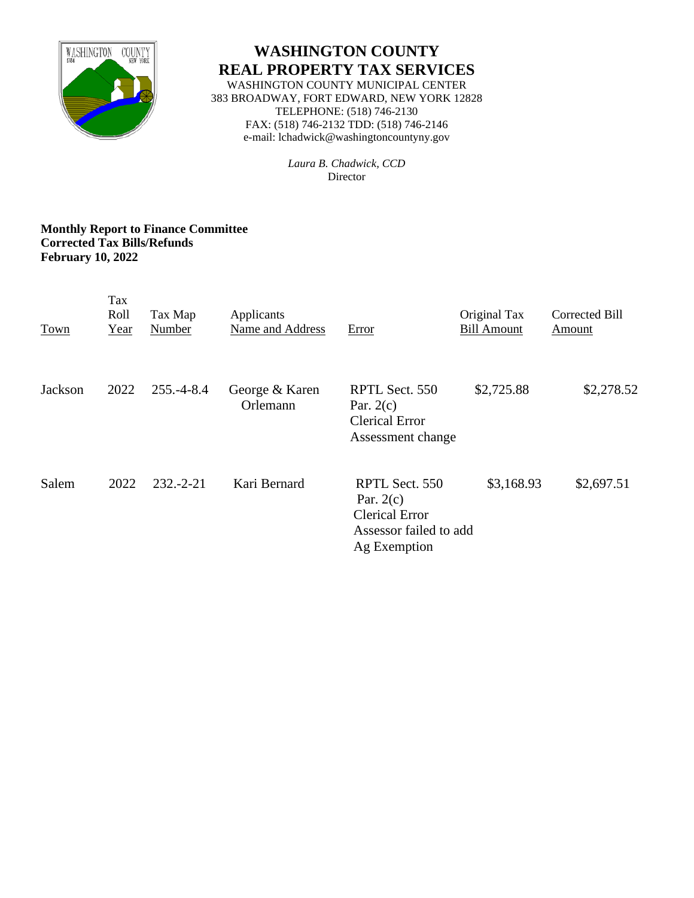

# **WASHINGTON COUNTY REAL PROPERTY TAX SERVICES**

WASHINGTON COUNTY MUNICIPAL CENTER 383 BROADWAY, FORT EDWARD, NEW YORK 12828 TELEPHONE: (518) 746-2130 FAX: (518) 746-2132 TDD: (518) 746-2146 e-mail: lchadwick@washingtoncountyny.gov

> *Laura B. Chadwick, CCD* Director

#### **Monthly Report to Finance Committee Corrected Tax Bills/Refunds February 10, 2022**

| Town    | Tax<br>Roll<br>Year | Tax Map<br>Number | Applicants<br>Name and Address | Error                                                                                            | Original Tax<br><b>Bill Amount</b> | Corrected Bill<br>Amount |
|---------|---------------------|-------------------|--------------------------------|--------------------------------------------------------------------------------------------------|------------------------------------|--------------------------|
| Jackson | 2022                | $255.-4-8.4$      | George & Karen<br>Orlemann     | RPTL Sect. 550<br>Par. $2(c)$<br><b>Clerical Error</b><br>Assessment change                      | \$2,725.88                         | \$2,278.52               |
| Salem   | 2022                | $232 - 2 - 21$    | Kari Bernard                   | RPTL Sect. 550<br>Par. $2(c)$<br><b>Clerical Error</b><br>Assessor failed to add<br>Ag Exemption | \$3,168.93                         | \$2,697.51               |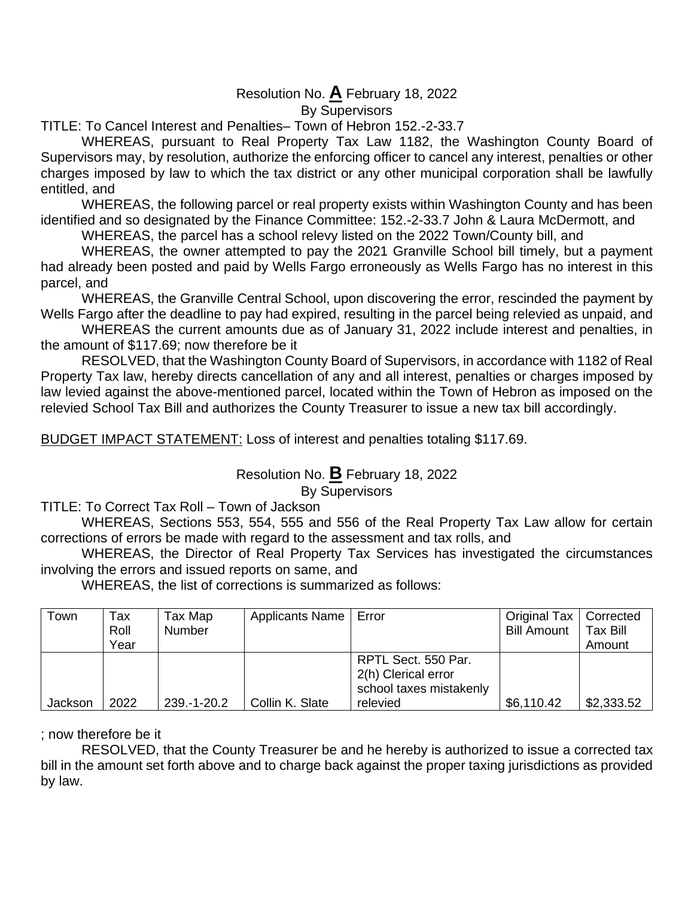# Resolution No. **A** February 18, 2022

By Supervisors

TITLE: To Cancel Interest and Penalties– Town of Hebron 152.-2-33.7

WHEREAS, pursuant to Real Property Tax Law 1182, the Washington County Board of Supervisors may, by resolution, authorize the enforcing officer to cancel any interest, penalties or other charges imposed by law to which the tax district or any other municipal corporation shall be lawfully entitled, and

WHEREAS, the following parcel or real property exists within Washington County and has been identified and so designated by the Finance Committee: 152.-2-33.7 John & Laura McDermott, and

WHEREAS, the parcel has a school relevy listed on the 2022 Town/County bill, and

WHEREAS, the owner attempted to pay the 2021 Granville School bill timely, but a payment had already been posted and paid by Wells Fargo erroneously as Wells Fargo has no interest in this parcel, and

WHEREAS, the Granville Central School, upon discovering the error, rescinded the payment by Wells Fargo after the deadline to pay had expired, resulting in the parcel being relevied as unpaid, and

WHEREAS the current amounts due as of January 31, 2022 include interest and penalties, in the amount of \$117.69; now therefore be it

RESOLVED, that the Washington County Board of Supervisors, in accordance with 1182 of Real Property Tax law, hereby directs cancellation of any and all interest, penalties or charges imposed by law levied against the above-mentioned parcel, located within the Town of Hebron as imposed on the relevied School Tax Bill and authorizes the County Treasurer to issue a new tax bill accordingly.

BUDGET IMPACT STATEMENT: Loss of interest and penalties totaling \$117.69.

Resolution No. **B** February 18, 2022 By Supervisors

TITLE: To Correct Tax Roll – Town of Jackson

WHEREAS, Sections 553, 554, 555 and 556 of the Real Property Tax Law allow for certain corrections of errors be made with regard to the assessment and tax rolls, and

WHEREAS, the Director of Real Property Tax Services has investigated the circumstances involving the errors and issued reports on same, and

WHEREAS, the list of corrections is summarized as follows:

| Town    | Tax<br>Roll<br>Year | Tax Map<br>Number | Applicants Name   Error |                                                                                   | <b>Original Tax</b><br><b>Bill Amount</b> | Corrected<br><b>Tax Bill</b><br>Amount |
|---------|---------------------|-------------------|-------------------------|-----------------------------------------------------------------------------------|-------------------------------------------|----------------------------------------|
| Jackson | 2022                | 239.-1-20.2       | Collin K. Slate         | RPTL Sect. 550 Par.<br>2(h) Clerical error<br>school taxes mistakenly<br>relevied | \$6,110.42                                | \$2,333.52                             |

; now therefore be it

RESOLVED, that the County Treasurer be and he hereby is authorized to issue a corrected tax bill in the amount set forth above and to charge back against the proper taxing jurisdictions as provided by law.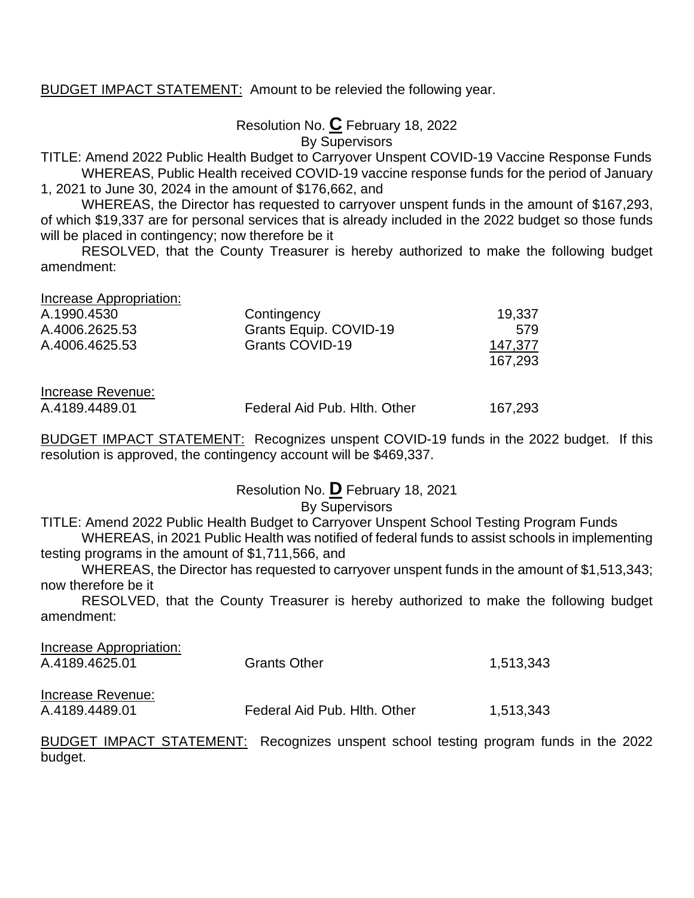BUDGET IMPACT STATEMENT: Amount to be relevied the following year.

Resolution No. **C** February 18, 2022 By Supervisors

TITLE: Amend 2022 Public Health Budget to Carryover Unspent COVID-19 Vaccine Response Funds WHEREAS, Public Health received COVID-19 vaccine response funds for the period of January 1, 2021 to June 30, 2024 in the amount of \$176,662, and

WHEREAS, the Director has requested to carryover unspent funds in the amount of \$167,293, of which \$19,337 are for personal services that is already included in the 2022 budget so those funds will be placed in contingency; now therefore be it

RESOLVED, that the County Treasurer is hereby authorized to make the following budget amendment:

| Increase Appropriation:<br>A.1990.4530 | Contingency            | 19,337  |
|----------------------------------------|------------------------|---------|
| A.4006.2625.53                         | Grants Equip. COVID-19 | 579     |
| A.4006.4625.53                         | Grants COVID-19        | 147,377 |
|                                        |                        | 167,293 |
|                                        |                        |         |
| Increase Revenue:                      |                        |         |

A.4189.4489.01 Federal Aid Pub. Hlth. Other 167,293

BUDGET IMPACT STATEMENT: Recognizes unspent COVID-19 funds in the 2022 budget. If this resolution is approved, the contingency account will be \$469,337.

### Resolution No. **D** February 18, 2021

#### By Supervisors

TITLE: Amend 2022 Public Health Budget to Carryover Unspent School Testing Program Funds WHEREAS, in 2021 Public Health was notified of federal funds to assist schools in implementing

testing programs in the amount of \$1,711,566, and

WHEREAS, the Director has requested to carryover unspent funds in the amount of \$1,513,343; now therefore be it

RESOLVED, that the County Treasurer is hereby authorized to make the following budget amendment:

| Increase Appropriation:             |                                                                         |           |
|-------------------------------------|-------------------------------------------------------------------------|-----------|
| A.4189.4625.01                      | <b>Grants Other</b>                                                     | 1,513,343 |
| Increase Revenue:<br>A.4189.4489.01 | Federal Aid Pub. Hith. Other                                            | 1,513,343 |
|                                     | BUDGET IMPACT STATEMENT: Recognizes unspent school testing program fund |           |

 $s$  in the 2022 budget.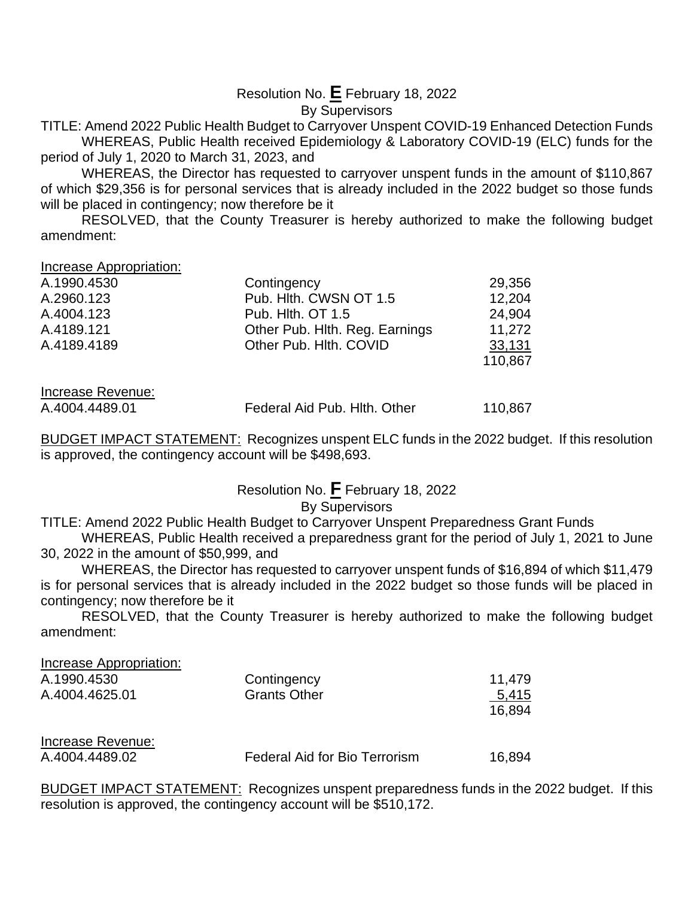# Resolution No. **E** February 18, 2022

# By Supervisors

TITLE: Amend 2022 Public Health Budget to Carryover Unspent COVID-19 Enhanced Detection Funds WHEREAS, Public Health received Epidemiology & Laboratory COVID-19 (ELC) funds for the period of July 1, 2020 to March 31, 2023, and

WHEREAS, the Director has requested to carryover unspent funds in the amount of \$110,867 of which \$29,356 is for personal services that is already included in the 2022 budget so those funds will be placed in contingency; now therefore be it

RESOLVED, that the County Treasurer is hereby authorized to make the following budget amendment:

Increase Appropriation:

| A.1990.4530 | Contingency                    | 29,356  |
|-------------|--------------------------------|---------|
| A.2960.123  | Pub. Hith. CWSN OT 1.5         | 12,204  |
| A.4004.123  | Pub. Hith. OT 1.5              | 24,904  |
| A.4189.121  | Other Pub. Hith. Reg. Earnings | 11,272  |
| A.4189.4189 | Other Pub. Hith. COVID         | 33,131  |
|             |                                | 110,867 |

Increase Revenue:

A.4004.4489.01 Federal Aid Pub. Hlth. Other 110,867

BUDGET IMPACT STATEMENT: Recognizes unspent ELC funds in the 2022 budget. If this resolution is approved, the contingency account will be \$498,693.

# Resolution No. **F** February 18, 2022

#### By Supervisors

TITLE: Amend 2022 Public Health Budget to Carryover Unspent Preparedness Grant Funds

WHEREAS, Public Health received a preparedness grant for the period of July 1, 2021 to June 30, 2022 in the amount of \$50,999, and

WHEREAS, the Director has requested to carryover unspent funds of \$16,894 of which \$11,479 is for personal services that is already included in the 2022 budget so those funds will be placed in contingency; now therefore be it

RESOLVED, that the County Treasurer is hereby authorized to make the following budget amendment:

| Increase Appropriation:             |                               |                 |
|-------------------------------------|-------------------------------|-----------------|
| A.1990.4530                         | Contingency                   | 11,479          |
| A.4004.4625.01                      | <b>Grants Other</b>           | 5,415<br>16,894 |
| Increase Revenue:<br>A.4004.4489.02 | Federal Aid for Bio Terrorism | 16,894          |

BUDGET IMPACT STATEMENT: Recognizes unspent preparedness funds in the 2022 budget. If this resolution is approved, the contingency account will be \$510,172.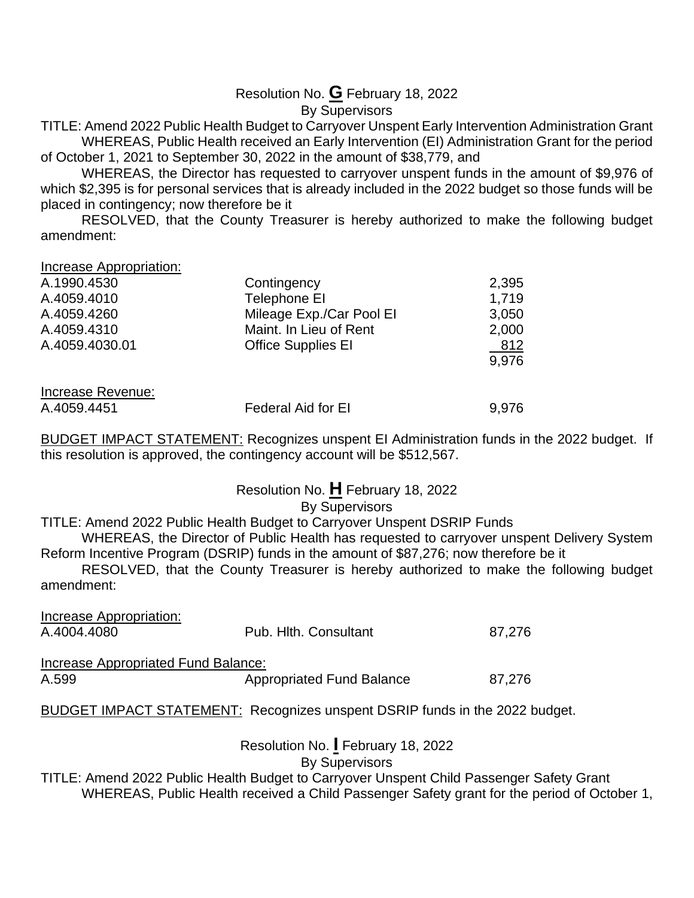# Resolution No. **G** February 18, 2022

# By Supervisors

TITLE: Amend 2022 Public Health Budget to Carryover Unspent Early Intervention Administration Grant WHEREAS, Public Health received an Early Intervention (EI) Administration Grant for the period of October 1, 2021 to September 30, 2022 in the amount of \$38,779, and

WHEREAS, the Director has requested to carryover unspent funds in the amount of \$9,976 of which \$2,395 is for personal services that is already included in the 2022 budget so those funds will be placed in contingency; now therefore be it

RESOLVED, that the County Treasurer is hereby authorized to make the following budget amendment:

Increase Appropriation:

| A.1990.4530       | Contingency               | 2,395 |
|-------------------|---------------------------|-------|
| A.4059.4010       | Telephone EI              | 1,719 |
| A.4059.4260       | Mileage Exp./Car Pool El  | 3,050 |
| A.4059.4310       | Maint. In Lieu of Rent    | 2,000 |
| A.4059.4030.01    | <b>Office Supplies EI</b> | 812   |
|                   |                           | 9,976 |
|                   |                           |       |
| Increase Revenue: |                           |       |

A.4059.4451 Federal Aid for EI 9,976

BUDGET IMPACT STATEMENT: Recognizes unspent EI Administration funds in the 2022 budget. If this resolution is approved, the contingency account will be \$512,567.

Resolution No. **H** February 18, 2022

# By Supervisors

TITLE: Amend 2022 Public Health Budget to Carryover Unspent DSRIP Funds

WHEREAS, the Director of Public Health has requested to carryover unspent Delivery System Reform Incentive Program (DSRIP) funds in the amount of \$87,276; now therefore be it

RESOLVED, that the County Treasurer is hereby authorized to make the following budget amendment:

| <b>Increase Appropriation:</b>             |                                                                                    |        |
|--------------------------------------------|------------------------------------------------------------------------------------|--------|
| A.4004.4080                                | Pub. Hith. Consultant                                                              | 87,276 |
|                                            |                                                                                    |        |
| <b>Increase Appropriated Fund Balance:</b> |                                                                                    |        |
| A.599                                      | <b>Appropriated Fund Balance</b>                                                   | 87,276 |
|                                            |                                                                                    |        |
|                                            | <b>BUDGET IMPACT STATEMENT: Recognizes unspent DSRIP funds in the 2022 budget.</b> |        |
|                                            |                                                                                    |        |
|                                            | Resolution No. February 18, 2022                                                   |        |

By Supervisors

TITLE: Amend 2022 Public Health Budget to Carryover Unspent Child Passenger Safety Grant

WHEREAS, Public Health received a Child Passenger Safety grant for the period of October 1,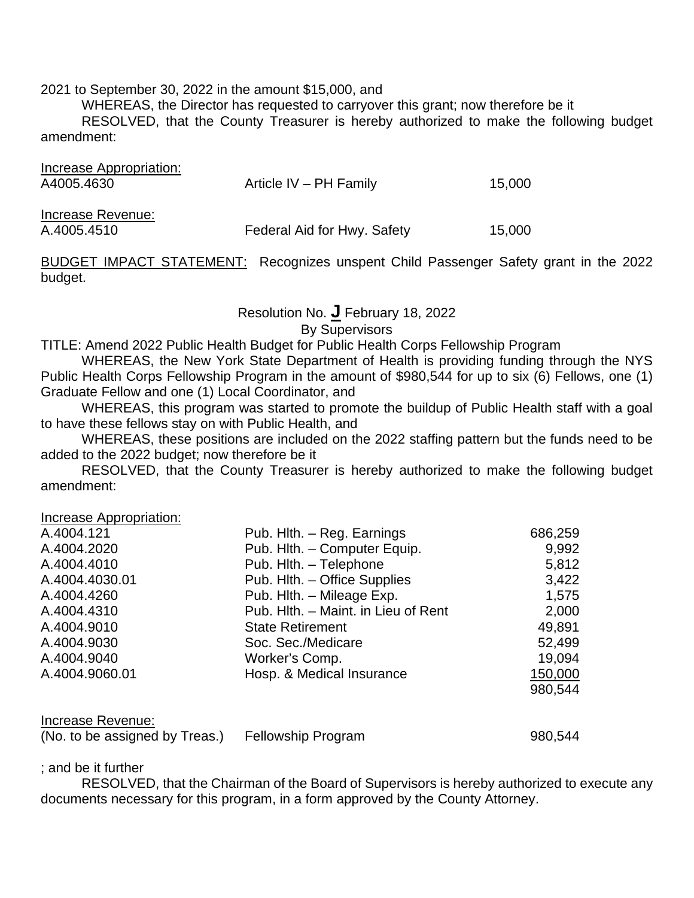2021 to September 30, 2022 in the amount \$15,000, and

WHEREAS, the Director has requested to carryover this grant; now therefore be it

RESOLVED, that the County Treasurer is hereby authorized to make the following budget amendment:

| Increase Appropriation:<br>A4005.4630 | Article IV $-$ PH Family    | 15,000 |
|---------------------------------------|-----------------------------|--------|
| Increase Revenue:<br>A.4005.4510      | Federal Aid for Hwy. Safety | 15,000 |

BUDGET IMPACT STATEMENT: Recognizes unspent Child Passenger Safety grant in the 2022 budget.

# Resolution No. **J** February 18, 2022

By Supervisors

TITLE: Amend 2022 Public Health Budget for Public Health Corps Fellowship Program

WHEREAS, the New York State Department of Health is providing funding through the NYS Public Health Corps Fellowship Program in the amount of \$980,544 for up to six (6) Fellows, one (1) Graduate Fellow and one (1) Local Coordinator, and

WHEREAS, this program was started to promote the buildup of Public Health staff with a goal to have these fellows stay on with Public Health, and

WHEREAS, these positions are included on the 2022 staffing pattern but the funds need to be added to the 2022 budget; now therefore be it

RESOLVED, that the County Treasurer is hereby authorized to make the following budget amendment:

Increase Appropriation:

| A.4004.121     | Pub. Hlth. - Reg. Earnings          | 686,259 |
|----------------|-------------------------------------|---------|
| A.4004.2020    | Pub. Hith. - Computer Equip.        | 9,992   |
| A.4004.4010    | Pub. Hith. - Telephone              | 5,812   |
| A.4004.4030.01 | Pub. Hith. - Office Supplies        | 3,422   |
| A.4004.4260    | Pub. Hlth. - Mileage Exp.           | 1,575   |
| A.4004.4310    | Pub. Hith. - Maint. in Lieu of Rent | 2,000   |
| A.4004.9010    | <b>State Retirement</b>             | 49,891  |
| A.4004.9030    | Soc. Sec./Medicare                  | 52,499  |
| A.4004.9040    | Worker's Comp.                      | 19,094  |
| A.4004.9060.01 | Hosp. & Medical Insurance           | 150,000 |
|                |                                     | 980,544 |
|                |                                     |         |
|                |                                     |         |

#### Increase Revenue:

| (No. to be assigned by Treas.) | Fellowship Program | 980,544 |
|--------------------------------|--------------------|---------|
|--------------------------------|--------------------|---------|

; and be it further

RESOLVED, that the Chairman of the Board of Supervisors is hereby authorized to execute any documents necessary for this program, in a form approved by the County Attorney.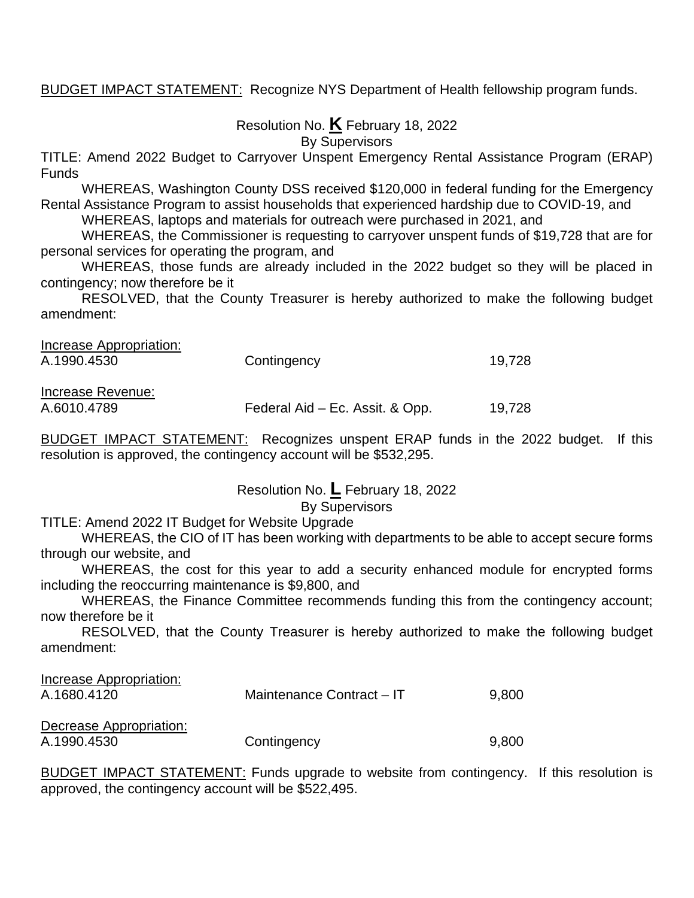BUDGET IMPACT STATEMENT: Recognize NYS Department of Health fellowship program funds.

Resolution No. **K** February 18, 2022

By Supervisors

TITLE: Amend 2022 Budget to Carryover Unspent Emergency Rental Assistance Program (ERAP) Funds

WHEREAS, Washington County DSS received \$120,000 in federal funding for the Emergency Rental Assistance Program to assist households that experienced hardship due to COVID-19, and

WHEREAS, laptops and materials for outreach were purchased in 2021, and

WHEREAS, the Commissioner is requesting to carryover unspent funds of \$19,728 that are for personal services for operating the program, and

WHEREAS, those funds are already included in the 2022 budget so they will be placed in contingency; now therefore be it

RESOLVED, that the County Treasurer is hereby authorized to make the following budget amendment:

| Increase Appropriation: |                                 |        |
|-------------------------|---------------------------------|--------|
| A.1990.4530             | Contingency                     | 19.728 |
|                         |                                 |        |
| Increase Revenue:       |                                 |        |
| A.6010.4789             | Federal Aid – Ec. Assit. & Opp. | 19.728 |

BUDGET IMPACT STATEMENT: Recognizes unspent ERAP funds in the 2022 budget. If this resolution is approved, the contingency account will be \$532,295.

Resolution No. **L** February 18, 2022

#### By Supervisors

TITLE: Amend 2022 IT Budget for Website Upgrade

WHEREAS, the CIO of IT has been working with departments to be able to accept secure forms through our website, and

WHEREAS, the cost for this year to add a security enhanced module for encrypted forms including the reoccurring maintenance is \$9,800, and

WHEREAS, the Finance Committee recommends funding this from the contingency account; now therefore be it

RESOLVED, that the County Treasurer is hereby authorized to make the following budget amendment:

| Increase Appropriation: |                           |       |
|-------------------------|---------------------------|-------|
| A.1680.4120             | Maintenance Contract - IT | 9,800 |
|                         |                           |       |
| Decrease Appropriation: |                           |       |
| A.1990.4530             | Contingency               | 9.800 |

BUDGET IMPACT STATEMENT: Funds upgrade to website from contingency. If this resolution is approved, the contingency account will be \$522,495.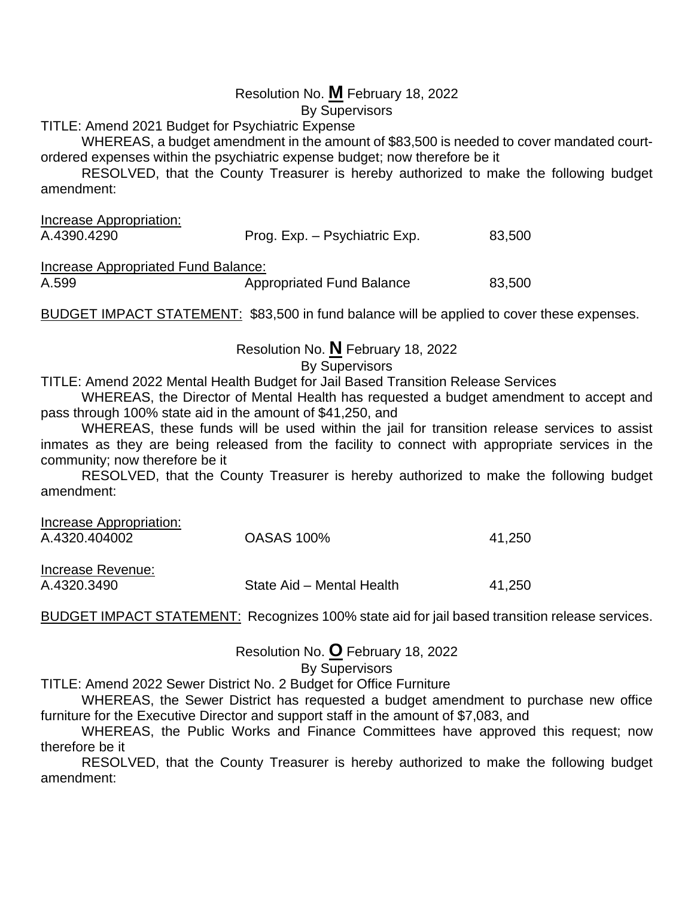#### Resolution No. **M** February 18, 2022

By Supervisors

TITLE: Amend 2021 Budget for Psychiatric Expense

WHEREAS, a budget amendment in the amount of \$83,500 is needed to cover mandated courtordered expenses within the psychiatric expense budget; now therefore be it

RESOLVED, that the County Treasurer is hereby authorized to make the following budget amendment:

| Increase Appropriation: |                               |        |
|-------------------------|-------------------------------|--------|
| A.4390.4290             | Prog. Exp. - Psychiatric Exp. | 83,500 |
|                         |                               |        |

Increase Appropriated Fund Balance:

A.599 **Appropriated Fund Balance** 83,500

BUDGET IMPACT STATEMENT: \$83,500 in fund balance will be applied to cover these expenses.

Resolution No. **N** February 18, 2022

By Supervisors

TITLE: Amend 2022 Mental Health Budget for Jail Based Transition Release Services

WHEREAS, the Director of Mental Health has requested a budget amendment to accept and pass through 100% state aid in the amount of \$41,250, and

WHEREAS, these funds will be used within the jail for transition release services to assist inmates as they are being released from the facility to connect with appropriate services in the community; now therefore be it

RESOLVED, that the County Treasurer is hereby authorized to make the following budget amendment:

| Increase Appropriation: |                   |        |
|-------------------------|-------------------|--------|
| A.4320.404002           | <b>OASAS 100%</b> | 41,250 |
| Increase Revenue:       |                   |        |

A.4320.3490 State Aid – Mental Health 41,250

BUDGET IMPACT STATEMENT: Recognizes 100% state aid for jail based transition release services.

Resolution No. **O** February 18, 2022

By Supervisors

TITLE: Amend 2022 Sewer District No. 2 Budget for Office Furniture

WHEREAS, the Sewer District has requested a budget amendment to purchase new office furniture for the Executive Director and support staff in the amount of \$7,083, and

WHEREAS, the Public Works and Finance Committees have approved this request; now therefore be it

RESOLVED, that the County Treasurer is hereby authorized to make the following budget amendment: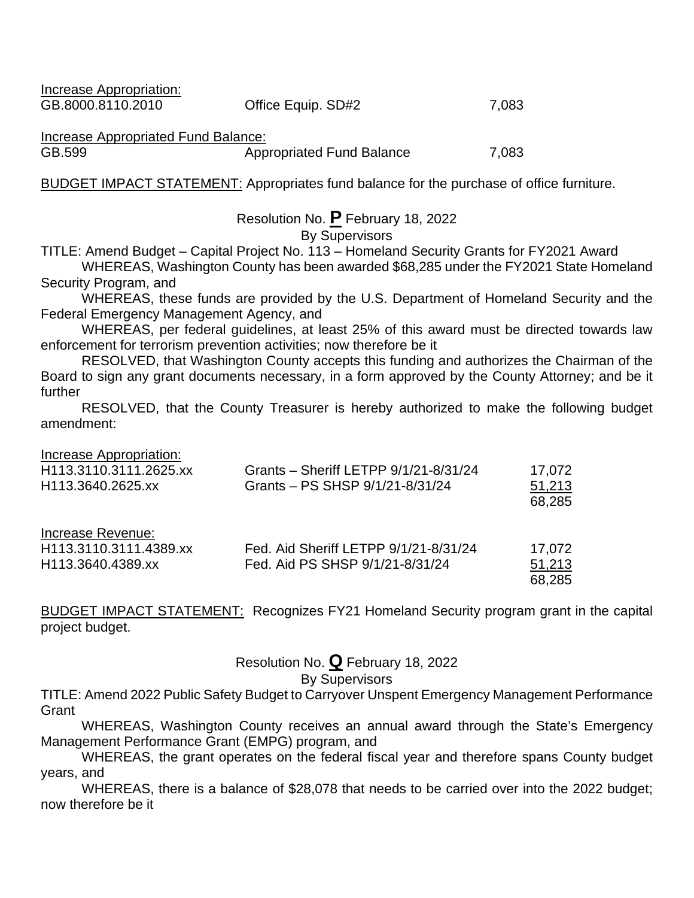Increase Appropriation: GB.8000.8110.2010 Office Equip. SD#2 7,083

Increase Appropriated Fund Balance:

GB.599 **Appropriated Fund Balance** 7,083

BUDGET IMPACT STATEMENT: Appropriates fund balance for the purchase of office furniture.

Resolution No. **P** February 18, 2022

By Supervisors

TITLE: Amend Budget – Capital Project No. 113 – Homeland Security Grants for FY2021 Award

WHEREAS, Washington County has been awarded \$68,285 under the FY2021 State Homeland Security Program, and

WHEREAS, these funds are provided by the U.S. Department of Homeland Security and the Federal Emergency Management Agency, and

WHEREAS, per federal guidelines, at least 25% of this award must be directed towards law enforcement for terrorism prevention activities; now therefore be it

RESOLVED, that Washington County accepts this funding and authorizes the Chairman of the Board to sign any grant documents necessary, in a form approved by the County Attorney; and be it further

RESOLVED, that the County Treasurer is hereby authorized to make the following budget amendment:

Increase Appropriation:

| H113.3110.3111.2625.xx | Grants - Sheriff LETPP 9/1/21-8/31/24 | 17,072 |
|------------------------|---------------------------------------|--------|
| H113.3640.2625.xx      | Grants - PS SHSP 9/1/21-8/31/24       | 51,213 |
|                        |                                       | 68,285 |
| Increase Revenue:      |                                       |        |
| H113.3110.3111.4389.xx | Fed. Aid Sheriff LETPP 9/1/21-8/31/24 | 17,072 |
| H113.3640.4389.xx      | Fed. Aid PS SHSP 9/1/21-8/31/24       | 51,213 |
|                        |                                       | 68,285 |

BUDGET IMPACT STATEMENT: Recognizes FY21 Homeland Security program grant in the capital project budget.

Resolution No. **Q** February 18, 2022

By Supervisors

TITLE: Amend 2022 Public Safety Budget to Carryover Unspent Emergency Management Performance **Grant** 

WHEREAS, Washington County receives an annual award through the State's Emergency Management Performance Grant (EMPG) program, and

WHEREAS, the grant operates on the federal fiscal year and therefore spans County budget years, and

WHEREAS, there is a balance of \$28,078 that needs to be carried over into the 2022 budget; now therefore be it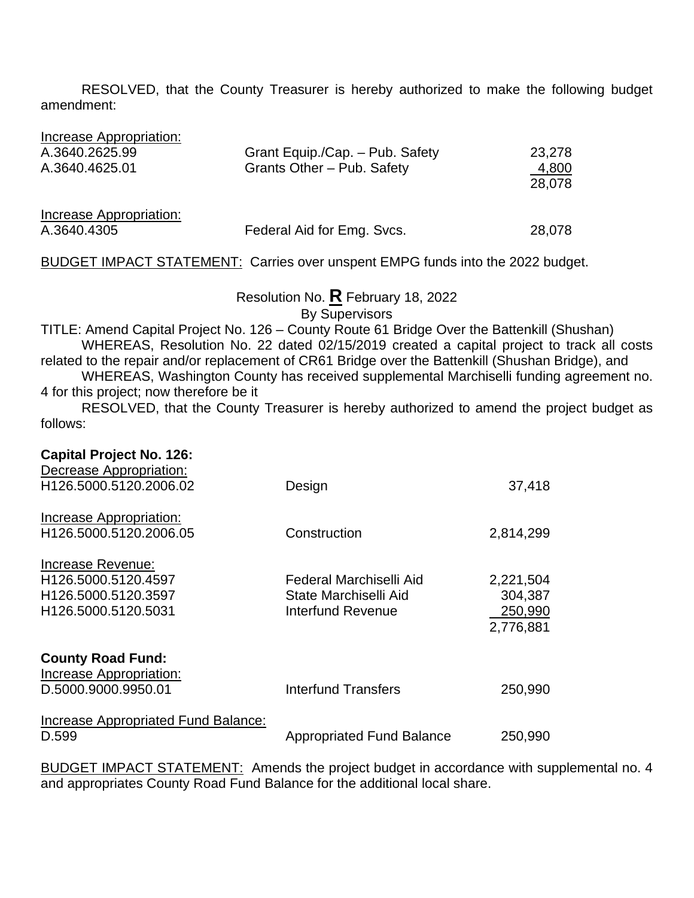RESOLVED, that the County Treasurer is hereby authorized to make the following budget amendment:

| Increase Appropriation: |                                 |                 |
|-------------------------|---------------------------------|-----------------|
| A.3640.2625.99          | Grant Equip./Cap. - Pub. Safety | 23,278          |
| A.3640.4625.01          | Grants Other - Pub. Safety      | 4,800<br>28,078 |
| Increase Appropriation: |                                 |                 |
| A.3640.4305             | Federal Aid for Emg. Svcs.      | 28,078          |

#### BUDGET IMPACT STATEMENT: Carries over unspent EMPG funds into the 2022 budget.

Resolution No. **R** February 18, 2022

By Supervisors

TITLE: Amend Capital Project No. 126 – County Route 61 Bridge Over the Battenkill (Shushan) WHEREAS, Resolution No. 22 dated 02/15/2019 created a capital project to track all costs related to the repair and/or replacement of CR61 Bridge over the Battenkill (Shushan Bridge), and

WHEREAS, Washington County has received supplemental Marchiselli funding agreement no. 4 for this project; now therefore be it

RESOLVED, that the County Treasurer is hereby authorized to amend the project budget as follows:

| <b>Capital Project No. 126:</b><br>Decrease Appropriation:                             |                                                                              |                                              |
|----------------------------------------------------------------------------------------|------------------------------------------------------------------------------|----------------------------------------------|
| H126.5000.5120.2006.02                                                                 | Design                                                                       | 37,418                                       |
| Increase Appropriation:<br>H126.5000.5120.2006.05                                      | Construction                                                                 | 2,814,299                                    |
| Increase Revenue:<br>H126.5000.5120.4597<br>H126.5000.5120.3597<br>H126.5000.5120.5031 | Federal Marchiselli Aid<br>State Marchiselli Aid<br><b>Interfund Revenue</b> | 2,221,504<br>304,387<br>250,990<br>2,776,881 |
| <b>County Road Fund:</b><br>Increase Appropriation:<br>D.5000.9000.9950.01             | <b>Interfund Transfers</b>                                                   | 250,990                                      |
| Increase Appropriated Fund Balance:<br>D.599                                           | <b>Appropriated Fund Balance</b>                                             | 250,990                                      |

BUDGET IMPACT STATEMENT: Amends the project budget in accordance with supplemental no. 4 and appropriates County Road Fund Balance for the additional local share.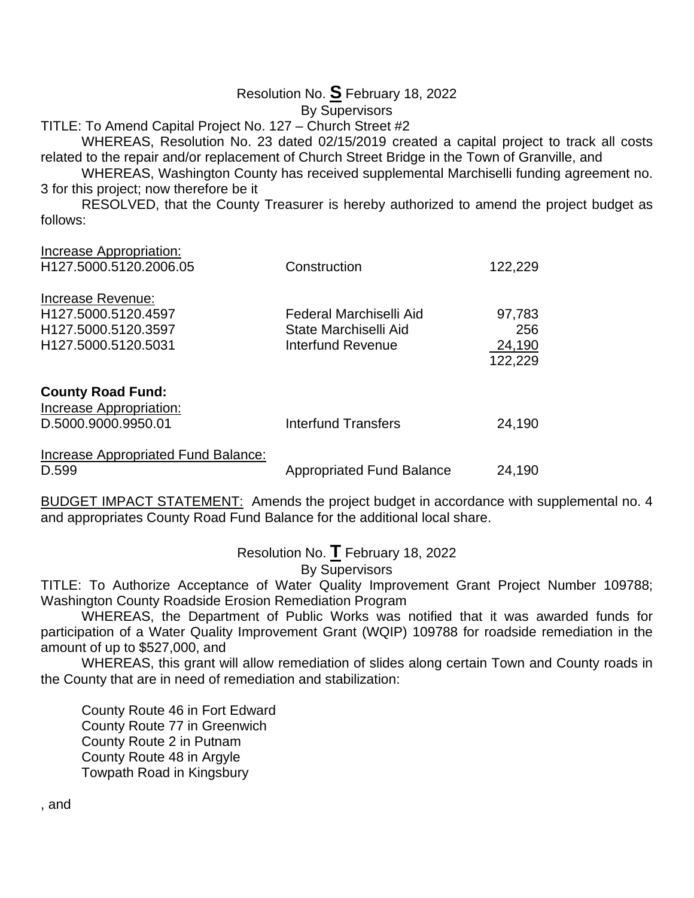# Resolution No. **S** February 18, 2022

By Supervisors

TITLE: To Amend Capital Project No. 127 – Church Street #2 WHEREAS, Resolution No. 23 dated 02/15/2019 created a capital project to track all costs

related to the repair and/or replacement of Church Street Bridge in the Town of Granville, and

WHEREAS, Washington County has received supplemental Marchiselli funding agreement no. 3 for this project; now therefore be it

RESOLVED, that the County Treasurer is hereby authorized to amend the project budget as follows:

| Increase Appropriation:<br>H127.5000.5120.2006.05                                                  | Construction                                                                 | 122,229                            |
|----------------------------------------------------------------------------------------------------|------------------------------------------------------------------------------|------------------------------------|
| Increase Revenue:<br>H <sub>127.5000.5120.4597</sub><br>H127.5000.5120.3597<br>H127.5000.5120.5031 | Federal Marchiselli Aid<br>State Marchiselli Aid<br><b>Interfund Revenue</b> | 97,783<br>256<br>24,190<br>122,229 |
| <b>County Road Fund:</b><br>Increase Appropriation:<br>D.5000.9000.9950.01                         | Interfund Transfers                                                          | 24,190                             |
| Increase Appropriated Fund Balance:<br>D.599                                                       | <b>Appropriated Fund Balance</b>                                             | 24,190                             |

BUDGET IMPACT STATEMENT: Amends the project budget in accordance with supplemental no. 4 and appropriates County Road Fund Balance for the additional local share.

Resolution No. **T** February 18, 2022

By Supervisors

TITLE: To Authorize Acceptance of Water Quality Improvement Grant Project Number 109788; Washington County Roadside Erosion Remediation Program

WHEREAS, the Department of Public Works was notified that it was awarded funds for participation of a Water Quality Improvement Grant (WQIP) 109788 for roadside remediation in the amount of up to \$527,000, and

WHEREAS, this grant will allow remediation of slides along certain Town and County roads in the County that are in need of remediation and stabilization:

County Route 46 in Fort Edward County Route 77 in Greenwich County Route 2 in Putnam County Route 48 in Argyle Towpath Road in Kingsbury

, and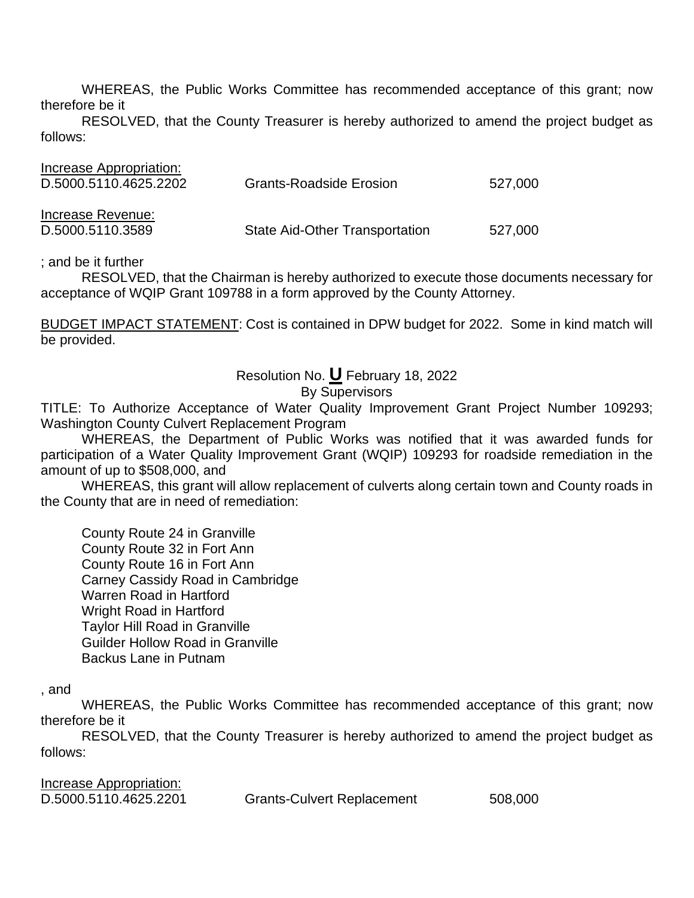WHEREAS, the Public Works Committee has recommended acceptance of this grant; now therefore be it

RESOLVED, that the County Treasurer is hereby authorized to amend the project budget as follows:

| Increase Appropriation: |                                |         |
|-------------------------|--------------------------------|---------|
| D.5000.5110.4625.2202   | <b>Grants-Roadside Erosion</b> | 527,000 |
|                         |                                |         |
| Increase Revenue:       |                                |         |
| D.5000.5110.3589        | State Aid-Other Transportation | 527,000 |

; and be it further

RESOLVED, that the Chairman is hereby authorized to execute those documents necessary for acceptance of WQIP Grant 109788 in a form approved by the County Attorney.

BUDGET IMPACT STATEMENT: Cost is contained in DPW budget for 2022. Some in kind match will be provided.

# Resolution No. **U** February 18, 2022

#### By Supervisors

TITLE: To Authorize Acceptance of Water Quality Improvement Grant Project Number 109293; Washington County Culvert Replacement Program

WHEREAS, the Department of Public Works was notified that it was awarded funds for participation of a Water Quality Improvement Grant (WQIP) 109293 for roadside remediation in the amount of up to \$508,000, and

WHEREAS, this grant will allow replacement of culverts along certain town and County roads in the County that are in need of remediation:

County Route 24 in Granville County Route 32 in Fort Ann County Route 16 in Fort Ann Carney Cassidy Road in Cambridge Warren Road in Hartford Wright Road in Hartford Taylor Hill Road in Granville Guilder Hollow Road in Granville Backus Lane in Putnam

, and

WHEREAS, the Public Works Committee has recommended acceptance of this grant; now therefore be it

RESOLVED, that the County Treasurer is hereby authorized to amend the project budget as follows:

| Increase Appropriation: |                                   |         |
|-------------------------|-----------------------------------|---------|
| D.5000.5110.4625.2201   | <b>Grants-Culvert Replacement</b> | 508,000 |